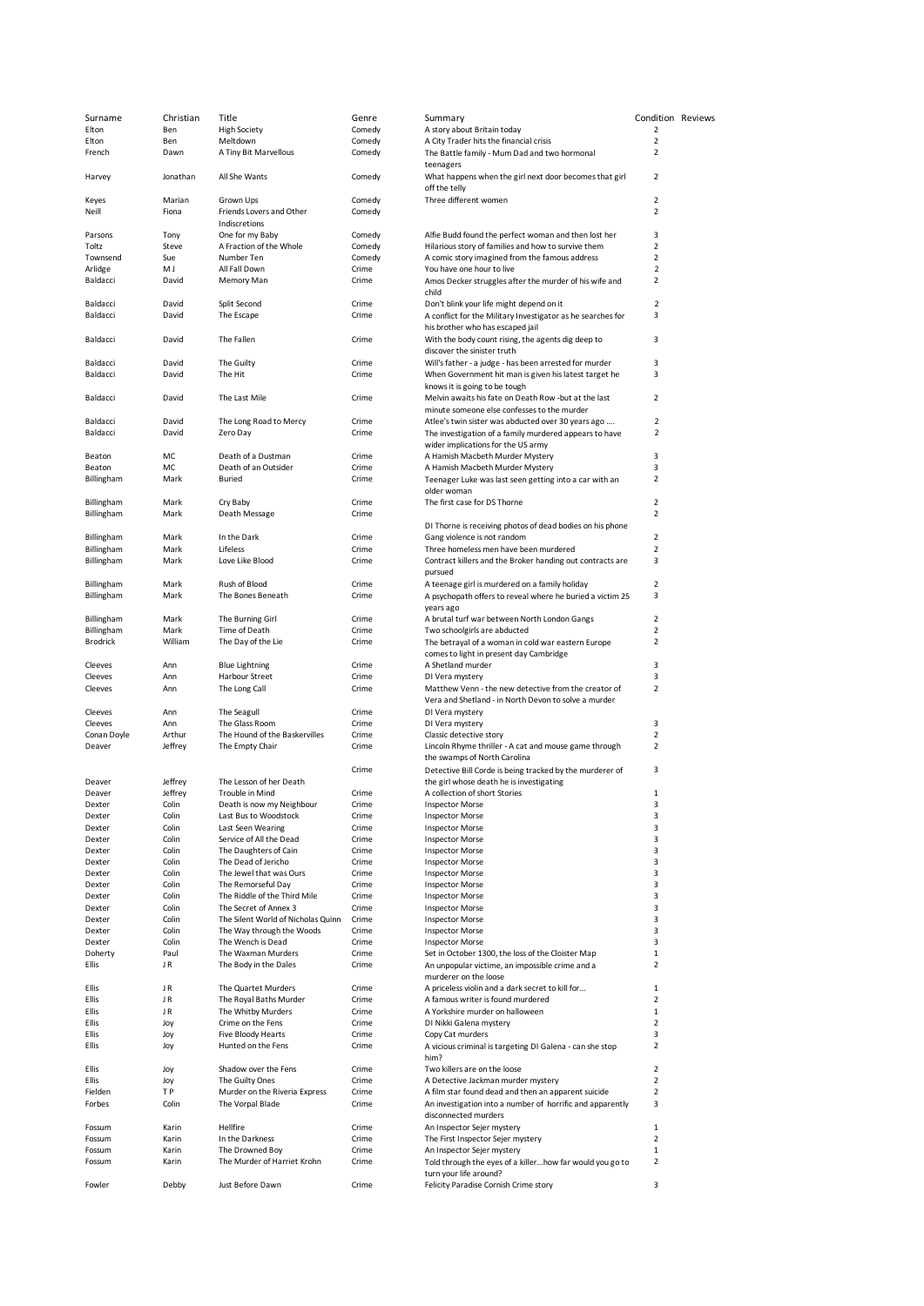| Surname                | Christian      | Title                                       | Genre          | Summary                                                                                                               | Condition Reviews         |  |
|------------------------|----------------|---------------------------------------------|----------------|-----------------------------------------------------------------------------------------------------------------------|---------------------------|--|
| Elton                  | Ben            | <b>High Society</b>                         | Comedy         | A story about Britain today                                                                                           | $\overline{2}$            |  |
| Elton                  | Ben            | Meltdown                                    | Comedy         | A City Trader hits the financial crisis                                                                               | $\overline{2}$            |  |
| French                 | Dawn           | A Tiny Bit Marvellous                       | Comedy         | The Battle family - Mum Dad and two hormonal<br>teenagers                                                             | $\overline{2}$            |  |
| Harvey                 | Jonathan       | All She Wants                               | Comedy         | What happens when the girl next door becomes that girl<br>off the telly                                               | $\overline{2}$            |  |
| Keyes                  | Marian         | Grown Ups                                   | Comedy         | Three different women                                                                                                 | $\overline{2}$            |  |
| Neill                  | Fiona          | Friends Lovers and Other                    | Comedy         |                                                                                                                       | $\overline{2}$            |  |
|                        |                | Indiscretions                               |                |                                                                                                                       |                           |  |
| Parsons                | Tony           | One for my Baby                             | Comedy         | Alfie Budd found the perfect woman and then lost her                                                                  | 3                         |  |
| Toltz                  | Steve          | A Fraction of the Whole                     | Comedy         | Hilarious story of families and how to survive them                                                                   | $\overline{2}$            |  |
| Townsend               | Sue            | Number Ten                                  | Comedy         | A comic story imagined from the famous address                                                                        | $\overline{2}$            |  |
| Arlidge                | M J            | All Fall Down                               | Crime          | You have one hour to live                                                                                             | $\overline{2}$            |  |
| Baldacci               | David          | Memory Man                                  | Crime          | Amos Decker struggles after the murder of his wife and<br>child                                                       | $\overline{2}$            |  |
| Baldacci<br>Baldacci   | David<br>David | Split Second<br>The Escape                  | Crime<br>Crime | Don't blink your life might depend on it<br>A conflict for the Military Investigator as he searches for               | $\overline{2}$<br>3       |  |
| Baldacci               | David          | The Fallen                                  | Crime          | his brother who has escaped jail<br>With the body count rising, the agents dig deep to<br>discover the sinister truth | 3                         |  |
| Baldacci               | David          | The Guilty                                  | Crime          | Will's father - a judge - has been arrested for murder                                                                | 3                         |  |
| Baldacci               | David          | The Hit                                     | Crime          | When Government hit man is given his latest target he                                                                 | 3                         |  |
|                        |                |                                             |                | knows it is going to be tough                                                                                         |                           |  |
| Baldacci               | David          | The Last Mile                               | Crime          | Melvin awaits his fate on Death Row -but at the last                                                                  | $\overline{2}$            |  |
| Baldacci               | David          |                                             | Crime          | minute someone else confesses to the murder                                                                           | $\overline{2}$            |  |
| Baldacci               | David          | The Long Road to Mercy<br>Zero Day          | Crime          | Atlee's twin sister was abducted over 30 years ago<br>The investigation of a family murdered appears to have          | 2                         |  |
|                        |                |                                             |                | wider implications for the US army                                                                                    |                           |  |
| Beaton                 | МC             | Death of a Dustman                          | Crime          | A Hamish Macbeth Murder Mystery                                                                                       | 3                         |  |
| Beaton                 | МC             | Death of an Outsider                        | Crime          | A Hamish Macbeth Murder Mystery                                                                                       | 3                         |  |
| Billingham             | Mark           | <b>Buried</b>                               | Crime          | Teenager Luke was last seen getting into a car with an                                                                | $\overline{2}$            |  |
|                        |                |                                             |                | older woman                                                                                                           |                           |  |
| Billingham             | Mark           | Cry Baby                                    | Crime          | The first case for DS Thorne                                                                                          | $\overline{2}$            |  |
| Billingham             | Mark           | Death Message                               | Crime          |                                                                                                                       | $\overline{2}$            |  |
|                        |                |                                             |                | DI Thorne is receiving photos of dead bodies on his phone                                                             |                           |  |
| Billingham             | Mark           | In the Dark                                 | Crime          | Gang violence is not random                                                                                           | $\overline{2}$            |  |
| Billingham             | Mark           | Lifeless                                    | Crime          | Three homeless men have been murdered                                                                                 | $\mathbf 2$               |  |
| Billingham             | Mark           | Love Like Blood                             | Crime          | Contract killers and the Broker handing out contracts are<br>pursued                                                  | 3                         |  |
| Billingham             | Mark           | Rush of Blood                               | Crime          | A teenage girl is murdered on a family holiday                                                                        | $\overline{2}$            |  |
| Billingham             | Mark           | The Bones Beneath                           | Crime          | A psychopath offers to reveal where he buried a victim 25<br>years ago                                                | 3                         |  |
| Billingham             | Mark           | The Burning Girl                            | Crime          | A brutal turf war between North London Gangs                                                                          | $\overline{2}$            |  |
| Billingham             | Mark           | Time of Death                               | Crime          | Two schoolgirls are abducted                                                                                          | $\overline{2}$            |  |
| <b>Brodrick</b>        | William        | The Day of the Lie                          | Crime          | The betrayal of a woman in cold war eastern Europe                                                                    | $\overline{2}$            |  |
|                        |                |                                             |                | comes to light in present day Cambridge                                                                               |                           |  |
| Cleeves                | Ann            | <b>Blue Lightning</b>                       | Crime          | A Shetland murder                                                                                                     | 3                         |  |
| Cleeves                | Ann            | Harbour Street                              | Crime          | DI Vera mystery                                                                                                       | 3                         |  |
| Cleeves                | Ann            | The Long Call                               | Crime          | Matthew Venn - the new detective from the creator of                                                                  | $\overline{2}$            |  |
|                        |                |                                             |                | Vera and Shetland - in North Devon to solve a murder                                                                  |                           |  |
| Cleeves                | Ann            | The Seagull<br>The Glass Room               | Crime          | DI Vera mystery                                                                                                       | 3                         |  |
| Cleeves<br>Conan Doyle | Ann<br>Arthur  | The Hound of the Baskervilles               | Crime<br>Crime | DI Vera mystery<br>Classic detective story                                                                            | 2                         |  |
| Deaver                 | Jeffrey        | The Empty Chair                             | Crime          | Lincoln Rhyme thriller - A cat and mouse game through<br>the swamps of North Carolina                                 | $\overline{2}$            |  |
|                        |                |                                             | Crime          |                                                                                                                       | 3                         |  |
| Deaver                 | Jeffrey        | The Lesson of her Death                     |                | Detective Bill Corde is being tracked by the murderer of<br>the girl whose death he is investigating                  |                           |  |
| Deaver                 | Jeffrey        | Trouble in Mind                             | Crime          | A collection of short Stories                                                                                         | $\mathbf{1}$              |  |
| Dexter                 | Colin          | Death is now my Neighbour                   | Crime          | <b>Inspector Morse</b>                                                                                                | 3                         |  |
| Dexter                 | Colin          | Last Bus to Woodstock                       | Crime          | <b>Inspector Morse</b>                                                                                                | 3                         |  |
| Dexter                 | Colin          | Last Seen Wearing                           | Crime          | <b>Inspector Morse</b>                                                                                                | 3                         |  |
| Dexter                 | Colin          | Service of All the Dead                     | Crime          | <b>Inspector Morse</b>                                                                                                | 3                         |  |
| Dexter                 | Colin          | The Daughters of Cain                       | Crime          | <b>Inspector Morse</b>                                                                                                | 3                         |  |
| Dexter                 | Colin          | The Dead of Jericho                         | Crime          | <b>Inspector Morse</b>                                                                                                | 3                         |  |
| Dexter                 | Colin          | The Jewel that was Ours                     | Crime          | <b>Inspector Morse</b>                                                                                                | 3                         |  |
| Dexter                 | Colin          | The Remorseful Day                          | Crime          | <b>Inspector Morse</b>                                                                                                | 3                         |  |
| Dexter                 | Colin          | The Riddle of the Third Mile                | Crime          | <b>Inspector Morse</b>                                                                                                | 3                         |  |
| Dexter                 | Colin          | The Secret of Annex 3                       | Crime          | <b>Inspector Morse</b>                                                                                                | 3                         |  |
| Dexter                 | Colin          | The Silent World of Nicholas Quinn          | Crime          | <b>Inspector Morse</b>                                                                                                | 3                         |  |
| Dexter                 | Colin          | The Way through the Woods                   | Crime          | <b>Inspector Morse</b>                                                                                                | 3                         |  |
| Dexter                 | Colin          | The Wench is Dead                           | Crime          | <b>Inspector Morse</b>                                                                                                | 3                         |  |
| Doherty<br>Ellis       | Paul<br>JR     | The Waxman Murders<br>The Body in the Dales | Crime<br>Crime | Set in October 1300, the loss of the Cloister Map<br>An unpopular victime, an impossible crime and a                  | $\,1\,$<br>$\overline{2}$ |  |
|                        |                |                                             |                | murderer on the loose                                                                                                 |                           |  |
| Ellis                  | JR             | The Quartet Murders                         | Crime          | A priceless violin and a dark secret to kill for                                                                      | 1                         |  |
| Ellis                  | JR             | The Royal Baths Murder                      | Crime          | A famous writer is found murdered                                                                                     | $\overline{2}$            |  |
| Ellis<br>Ellis         | JR             | The Whitby Murders                          | Crime<br>Crime | A Yorkshire murder on halloween<br>DI Nikki Galena mystery                                                            | $1\,$<br>$\overline{2}$   |  |
| Ellis                  | Joy<br>Joy     | Crime on the Fens<br>Five Bloody Hearts     | Crime          | Copy Cat murders                                                                                                      | 3                         |  |
| Ellis                  | Joy            | Hunted on the Fens                          | Crime          | A vicious criminal is targeting DI Galena - can she stop                                                              | $\overline{2}$            |  |
| Ellis                  |                | Shadow over the Fens                        | Crime          | him?<br>Two killers are on the loose                                                                                  | $\overline{2}$            |  |
| Ellis                  | Joy            | The Guilty Ones                             | Crime          | A Detective Jackman murder mystery                                                                                    | $\overline{2}$            |  |
| Fielden                | Joy<br>T P     | Murder on the Riveria Express               | Crime          | A film star found dead and then an apparent suicide                                                                   | $\overline{2}$            |  |
| Forbes                 | Colin          | The Vorpal Blade                            | Crime          | An investigation into a number of horrific and apparently                                                             | 3                         |  |
|                        |                |                                             |                | disconnected murders                                                                                                  |                           |  |
| Fossum                 | Karin          | Hellfire                                    | Crime          | An Inspector Sejer mystery                                                                                            | $1\,$                     |  |
| Fossum                 | Karin          | In the Darkness                             | Crime          | The First Inspector Sejer mystery                                                                                     | $\overline{2}$            |  |
| Fossum                 | Karin          | The Drowned Boy                             | Crime          | An Inspector Sejer mystery                                                                                            | $1\,$                     |  |
| Fossum                 | Karin          | The Murder of Harriet Krohn                 | Crime          | Told through the eyes of a killer how far would you go to                                                             | 2                         |  |
| Fowler                 | Debby          | Just Before Dawn                            | Crime          | turn your life around?<br>Felicity Paradise Cornish Crime story                                                       | 3                         |  |
|                        |                |                                             |                |                                                                                                                       |                           |  |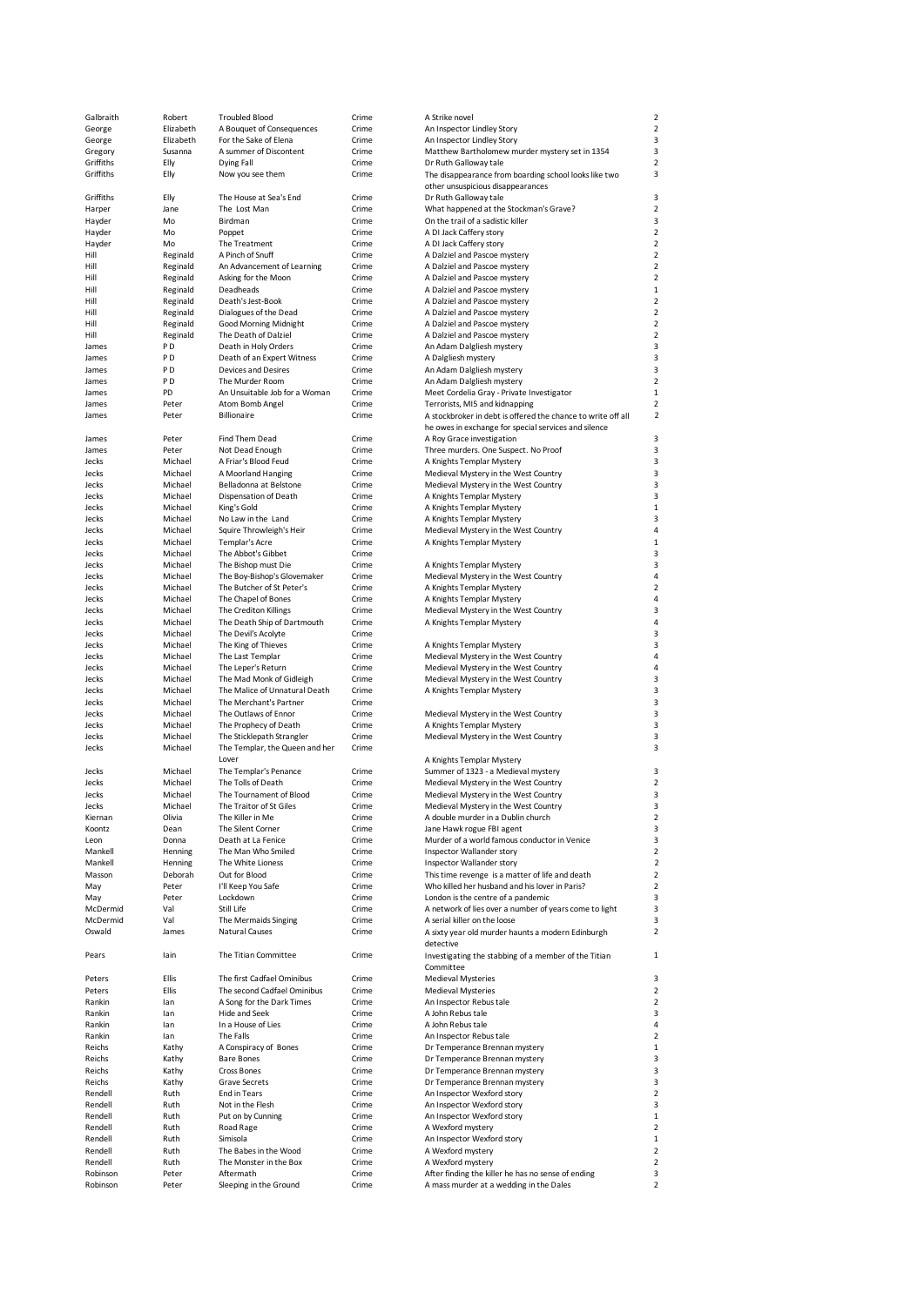| Galbraith            |                |                                |                |                                                                                               |                              |
|----------------------|----------------|--------------------------------|----------------|-----------------------------------------------------------------------------------------------|------------------------------|
|                      | Robert         | <b>Troubled Blood</b>          | Crime          | A Strike novel                                                                                |                              |
| George               | Elizabeth      | A Bouquet of Consequences      | Crime          | An Inspector Lindley Story                                                                    | $\overline{c}$               |
| George               | Elizabeth      | For the Sake of Elena          | Crime          | An Inspector Lindley Story                                                                    | 3                            |
| Gregory              | Susanna        | A summer of Discontent         | Crime          | Matthew Bartholomew murder mystery set in 1354                                                | 3                            |
|                      |                |                                |                |                                                                                               |                              |
| Griffiths            | Elly           | Dying Fall                     | Crime          | Dr Ruth Galloway tale                                                                         | $\overline{\mathbf{c}}$      |
| Griffiths            | Elly           | Now you see them               | Crime          | The disappearance from boarding school looks like two                                         | 3                            |
|                      |                |                                |                | other unsuspicious disappearances                                                             |                              |
|                      |                |                                |                |                                                                                               |                              |
| Griffiths            | Elly           | The House at Sea's End         | Crime          | Dr Ruth Galloway tale                                                                         | 3                            |
| Harper               | Jane           | The Lost Man                   | Crime          | What happened at the Stockman's Grave?                                                        | $\overline{a}$               |
| Hayder               | Mo             | Birdman                        | Crime          | On the trail of a sadistic killer                                                             | 3                            |
|                      |                |                                |                |                                                                                               |                              |
| Hayder               | Mo             | Poppet                         | Crime          | A DI Jack Caffery story                                                                       | $\overline{a}$               |
| Hayder               | Mo             | The Treatment                  | Crime          | A DI Jack Caffery story                                                                       | $\overline{a}$               |
|                      |                | A Pinch of Snuff               | Crime          |                                                                                               | $\overline{a}$               |
| Hill                 | Reginald       |                                |                | A Dalziel and Pascoe mystery                                                                  |                              |
| Hill                 | Reginald       | An Advancement of Learning     | Crime          | A Dalziel and Pascoe mystery                                                                  | $\overline{a}$               |
| Hill                 | Reginald       | Asking for the Moon            | Crime          | A Dalziel and Pascoe mystery                                                                  | $\overline{c}$               |
| Hill                 | Reginald       | Deadheads                      | Crime          |                                                                                               |                              |
|                      |                |                                |                | A Dalziel and Pascoe mystery                                                                  |                              |
| Hill                 | Reginald       | Death's Jest-Book              | Crime          | A Dalziel and Pascoe mystery                                                                  |                              |
| Hill                 | Reginald       | Dialogues of the Dead          | Crime          | A Dalziel and Pascoe mystery                                                                  | $\overline{c}$               |
|                      |                |                                |                |                                                                                               |                              |
| Hill                 | Reginald       | Good Morning Midnight          | Crime          | A Dalziel and Pascoe mystery                                                                  | $\overline{c}$               |
| Hill                 | Reginald       | The Death of Dalziel           | Crime          | A Dalziel and Pascoe mystery                                                                  | $\overline{c}$               |
| James                | P <sub>D</sub> | Death in Holy Orders           | Crime          | An Adam Dalgliesh mystery                                                                     | 3                            |
|                      |                |                                |                |                                                                                               |                              |
| James                | P D            | Death of an Expert Witness     | Crime          | A Dalgliesh mystery                                                                           | 3                            |
| James                | P <sub>D</sub> | <b>Devices and Desires</b>     | Crime          | An Adam Dalgliesh mystery                                                                     | 3                            |
| James                | P <sub>D</sub> | The Murder Room                | Crime          | An Adam Dalgliesh mystery                                                                     | $\overline{a}$               |
|                      |                |                                |                |                                                                                               |                              |
| James                | PD             | An Unsuitable Job for a Woman  | Crime          | Meet Cordelia Gray - Private Investigator                                                     | $\mathbf{1}$                 |
| James                | Peter          | Atom Bomb Angel                | Crime          | Terrorists, MI5 and kidnapping                                                                | $\overline{\mathbf{c}}$      |
| James                | Peter          | <b>Billionaire</b>             | Crime          | A stockbroker in debt is offered the chance to write off all                                  | $\overline{\mathbf{c}}$      |
|                      |                |                                |                |                                                                                               |                              |
|                      |                |                                |                | he owes in exchange for special services and silence                                          |                              |
| James                | Peter          | Find Them Dead                 | Crime          | A Roy Grace investigation                                                                     | 3                            |
|                      | Peter          | Not Dead Enough                | Crime          |                                                                                               | 3                            |
| James                |                |                                |                | Three murders. One Suspect. No Proof                                                          |                              |
| Jecks                | Michael        | A Friar's Blood Feud           | Crime          | A Knights Templar Mystery                                                                     | 3                            |
| Jecks                | Michael        | A Moorland Hanging             | Crime          | Medieval Mystery in the West Country                                                          | 3                            |
| Jecks                | Michael        | Belladonna at Belstone         | Crime          |                                                                                               | 3                            |
|                      |                |                                |                | Medieval Mystery in the West Country                                                          |                              |
| Jecks                | Michael        | Dispensation of Death          | Crime          | A Knights Templar Mystery                                                                     | 3                            |
| Jecks                | Michael        | King's Gold                    | Crime          | A Knights Templar Mystery                                                                     | 1                            |
|                      |                |                                |                |                                                                                               |                              |
| Jecks                | Michael        | No Law in the Land             | Crime          | A Knights Templar Mystery                                                                     | 3                            |
| Jecks                | Michael        | Squire Throwleigh's Heir       | Crime          | Medieval Mystery in the West Country                                                          | 4                            |
| Jecks                | Michael        | Templar's Acre                 | Crime          | A Knights Templar Mystery                                                                     | $\mathbf{1}$                 |
|                      |                |                                |                |                                                                                               |                              |
| Jecks                | Michael        | The Abbot's Gibbet             | Crime          |                                                                                               | 3                            |
| Jecks                | Michael        | The Bishop must Die            | Crime          | A Knights Templar Mystery                                                                     | 3                            |
| Jecks                | Michael        | The Boy-Bishop's Glovemaker    | Crime          | Medieval Mystery in the West Country                                                          | 4                            |
|                      |                |                                |                |                                                                                               |                              |
| Jecks                | Michael        | The Butcher of St Peter's      | Crime          | A Knights Templar Mystery                                                                     | $\overline{\mathbf{c}}$      |
| Jecks                | Michael        | The Chapel of Bones            | Crime          | A Knights Templar Mystery                                                                     | 4                            |
|                      | Michael        | The Crediton Killings          | Crime          | Medieval Mystery in the West Country                                                          | 3                            |
| Jecks                |                |                                |                |                                                                                               |                              |
| Jecks                | Michael        | The Death Ship of Dartmouth    | Crime          | A Knights Templar Mystery                                                                     | 4                            |
| Jecks                | Michael        | The Devil's Acolyte            | Crime          |                                                                                               | 3                            |
| Jecks                | Michael        | The King of Thieves            | Crime          |                                                                                               | 3                            |
|                      |                |                                |                | A Knights Templar Mystery                                                                     |                              |
| Jecks                | Michael        | The Last Templar               | Crime          | Medieval Mystery in the West Country                                                          | 4                            |
| Jecks                | Michael        | The Leper's Return             | Crime          | Medieval Mystery in the West Country                                                          | 4                            |
|                      |                |                                |                |                                                                                               |                              |
| Jecks                | Michael        | The Mad Monk of Gidleigh       | Crime          | Medieval Mystery in the West Country                                                          | 3                            |
| Jecks                | Michael        | The Malice of Unnatural Death  | Crime          | A Knights Templar Mystery                                                                     | 3                            |
| Jecks                | Michael        | The Merchant's Partner         | Crime          |                                                                                               | 3                            |
|                      |                |                                |                |                                                                                               |                              |
| Jecks                | Michael        | The Outlaws of Ennor           | Crime          | Medieval Mystery in the West Country                                                          | 3                            |
| Jecks                | Michael        | The Prophecy of Death          | Crime          | A Knights Templar Mystery                                                                     | 3                            |
| Jecks                | Michael        | The Sticklepath Strangler      | Crime          | Medieval Mystery in the West Country                                                          | 3                            |
|                      |                |                                |                |                                                                                               |                              |
| Jecks                | Michael        | The Templar, the Queen and her | Crime          |                                                                                               | 3                            |
|                      |                | Lover                          |                | A Knights Templar Mystery                                                                     |                              |
|                      | Michael        |                                | Crime          |                                                                                               | 3                            |
| Jecks                |                | The Templar's Penance          |                | Summer of 1323 - a Medieval mystery                                                           |                              |
| Jecks                | Michael        | The Tolls of Death             | Crime          | Medieval Mystery in the West Country                                                          | $\overline{\mathbf{c}}$      |
| Jecks                | Michael        | The Tournament of Blood        | Crime          | Medieval Mystery in the West Country                                                          | 3                            |
| lecks                | Michael        | The Traitor of St Giles        | Crime          |                                                                                               | 3                            |
|                      |                |                                |                | Medieval Mystery in the West Country                                                          |                              |
| Kiernan              | Olivia         | The Killer in Me               | Crime          | A double murder in a Dublin church                                                            | $\overline{a}$               |
| Koontz               | Dean           | The Silent Corner              | Crime          | Jane Hawk rogue FBI agent                                                                     | 3                            |
| Leon                 |                | Death at La Fenice             |                | Murder of a world famous conductor in Venice                                                  | 3                            |
|                      | Donna          |                                | Crime          |                                                                                               |                              |
| Mankell              | Henning        | The Man Who Smiled             | Crime          | Inspector Wallander story                                                                     | $\overline{c}$               |
| Mankell              | Henning        | The White Lioness              | Crime          | Inspector Wallander story                                                                     | 2                            |
| Masson               | Deborah        | Out for Blood                  | Crime          | This time revenge is a matter of life and death                                               | $\overline{a}$               |
|                      |                |                                |                |                                                                                               |                              |
| May                  | Peter          | I'll Keep You Safe             | Crime          | Who killed her husband and his lover in Paris?                                                | $\overline{a}$               |
| May                  | Peter          | Lockdown                       | Crime          | London is the centre of a pandemic                                                            | 3                            |
|                      |                |                                |                |                                                                                               |                              |
| McDermid             | Val            | Still Life                     | Crime          | A network of lies over a number of years come to light                                        | 3                            |
| McDermid             | Val            | The Mermaids Singing           | Crime          | A serial killer on the loose                                                                  | 3                            |
| Oswald               | James          | Natural Causes                 | Crime          |                                                                                               | $\overline{\mathbf{c}}$      |
|                      |                |                                |                | A sixty year old murder haunts a modern Edinburgh                                             |                              |
|                      |                |                                |                | detective                                                                                     |                              |
| Pears                | lain           | The Titian Committee           | Crime          | Investigating the stabbing of a member of the Titian                                          | $\mathbf{1}$                 |
|                      |                |                                |                |                                                                                               |                              |
|                      |                |                                |                | Committee                                                                                     |                              |
| Peters               | Ellis          | The first Cadfael Ominibus     | Crime          | <b>Medieval Mysteries</b>                                                                     | 3                            |
| Peters               | Ellis          | The second Cadfael Ominibus    | Crime          | <b>Medieval Mysteries</b>                                                                     | $\overline{\mathbf{c}}$      |
|                      |                |                                |                |                                                                                               |                              |
| Rankin               | lan            | A Song for the Dark Times      | Crime          | An Inspector Rebus tale                                                                       | $\overline{\mathbf{c}}$      |
| Rankin               | lan            | Hide and Seek                  | Crime          | A John Rebus tale                                                                             | 3                            |
| Rankin               | lan            | In a House of Lies             | Crime          | A John Rebus tale                                                                             | 4                            |
|                      |                |                                |                |                                                                                               |                              |
| Rankin               | lan            | The Falls                      | Crime          | An Inspector Rebus tale                                                                       | $\overline{a}$               |
| Reichs               | Kathy          | A Conspiracy of Bones          | Crime          | Dr Temperance Brennan mystery                                                                 | $\mathbf{1}$                 |
| Reichs               | Kathy          | <b>Bare Bones</b>              | Crime          | Dr Temperance Brennan mystery                                                                 | 3                            |
|                      |                |                                |                |                                                                                               |                              |
| Reichs               | Kathy          | Cross Bones                    | Crime          | Dr Temperance Brennan mystery                                                                 | 3                            |
| Reichs               | Kathy          | Grave Secrets                  | Crime          | Dr Temperance Brennan mystery                                                                 | 3                            |
|                      |                |                                |                |                                                                                               |                              |
| Rendell              | Ruth           | End in Tears                   | Crime          | An Inspector Wexford story                                                                    | $\overline{\mathbf{c}}$      |
| Rendell              | Ruth           | Not in the Flesh               | Crime          | An Inspector Wexford story                                                                    | 3                            |
| Rendell              | Ruth           | Put on by Cunning              | Crime          | An Inspector Wexford story                                                                    | 1                            |
|                      |                |                                |                |                                                                                               |                              |
| Rendell              |                | Road Rage                      | Crime          | A Wexford mystery                                                                             | $\overline{a}$               |
| Rendell              | Ruth           |                                |                |                                                                                               |                              |
|                      | Ruth           | Simisola                       | Crime          | An Inspector Wexford story                                                                    | 1                            |
|                      |                |                                |                |                                                                                               |                              |
| Rendell              | Ruth           | The Babes in the Wood          | Crime          | A Wexford mystery                                                                             | $\overline{a}$               |
| Rendell              | Ruth           | The Monster in the Box         | Crime          | A Wexford mystery                                                                             | $\overline{\mathbf{c}}$      |
|                      |                | Aftermath                      |                |                                                                                               |                              |
| Robinson<br>Robinson | Peter<br>Peter | Sleeping in the Ground         | Crime<br>Crime | After finding the killer he has no sense of ending<br>A mass murder at a wedding in the Dales | 3<br>$\overline{\mathbf{c}}$ |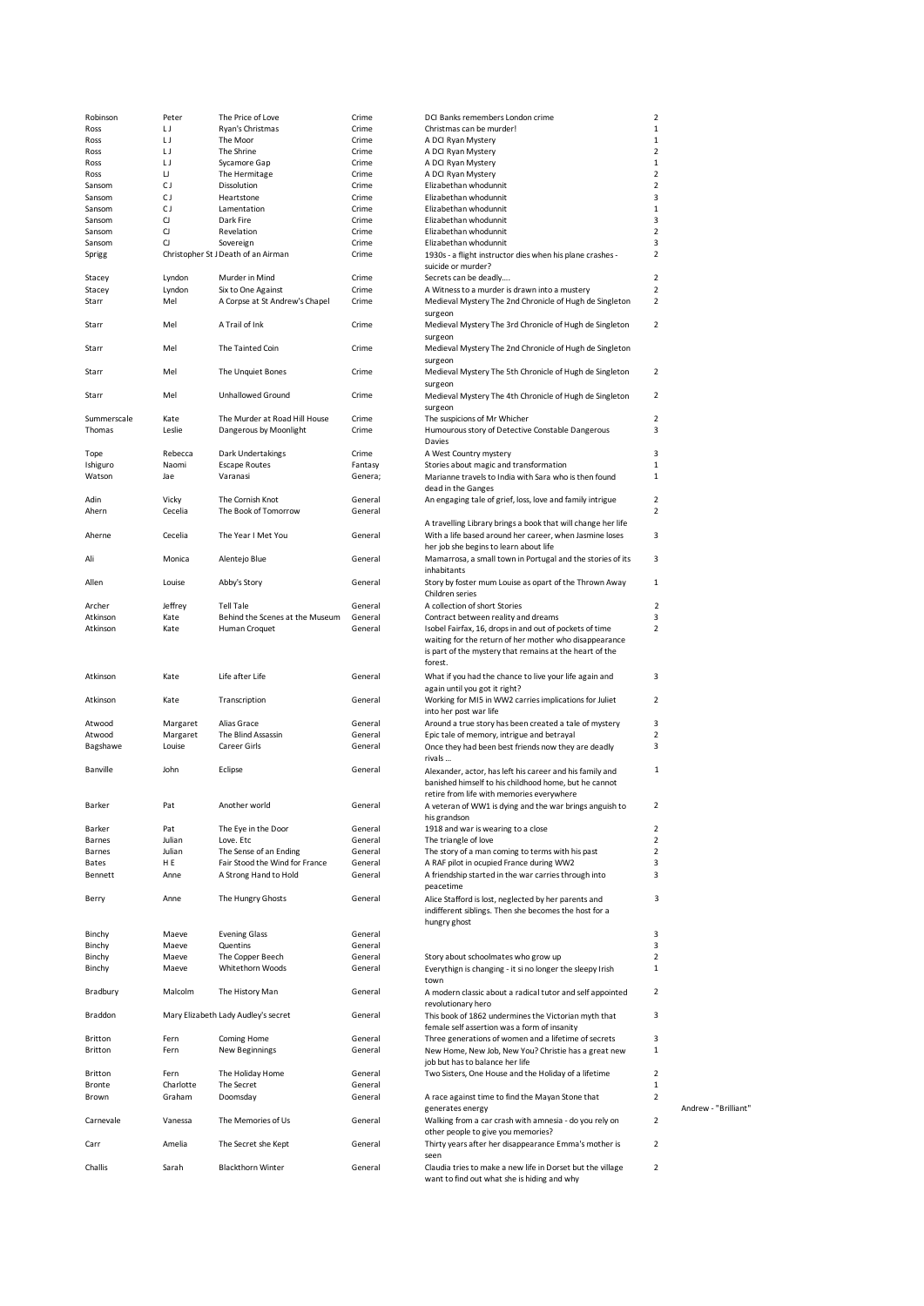|             |           |                                     |         | DCI Banks remembers London crime                                                                          | $\mathbf 2$    |                      |
|-------------|-----------|-------------------------------------|---------|-----------------------------------------------------------------------------------------------------------|----------------|----------------------|
| Robinson    | Peter     | The Price of Love                   | Crime   |                                                                                                           |                |                      |
| Ross        | IJ        | Ryan's Christmas                    | Crime   | Christmas can be murder!                                                                                  | $1\,$          |                      |
| Ross        | IJ        | The Moor                            | Crime   | A DCI Ryan Mystery                                                                                        | $\mathbf{1}$   |                      |
| Ross        | IJ        | The Shrine                          | Crime   | A DCI Ryan Mystery                                                                                        | $\overline{2}$ |                      |
| Ross        | IJ        | Sycamore Gap                        | Crime   | A DCI Ryan Mystery                                                                                        | 1              |                      |
| Ross        | IJ        | The Hermitage                       | Crime   | A DCI Ryan Mystery                                                                                        | $\overline{2}$ |                      |
|             |           |                                     |         |                                                                                                           |                |                      |
| Sansom      | СJ        | Dissolution                         | Crime   | Elizabethan whodunnit                                                                                     | 2              |                      |
| Sansom      | СJ        | Heartstone                          | Crime   | Elizabethan whodunnit                                                                                     | 3              |                      |
| Sansom      | СJ        | Lamentation                         | Crime   | Elizabethan whodunnit                                                                                     | 1              |                      |
| Sansom      | CJ        | Dark Fire                           | Crime   | Elizabethan whodunnit                                                                                     | 3              |                      |
| Sansom      | CJ        | Revelation                          | Crime   | Elizabethan whodunnit                                                                                     | $\overline{2}$ |                      |
|             | CJ        | Sovereign                           | Crime   | Elizabethan whodunnit                                                                                     | 3              |                      |
| Sansom      |           |                                     |         |                                                                                                           |                |                      |
| Sprigg      |           | Christopher St J Death of an Airman | Crime   | 1930s - a flight instructor dies when his plane crashes -                                                 | 2              |                      |
|             |           |                                     |         | suicide or murder?                                                                                        |                |                      |
| Stacey      | Lyndon    | Murder in Mind                      | Crime   | Secrets can be deadly                                                                                     | $\overline{2}$ |                      |
| Stacey      | Lyndon    | Six to One Against                  | Crime   | A Witness to a murder is drawn into a mustery                                                             | $\overline{2}$ |                      |
|             | Mel       | A Corpse at St Andrew's Chapel      |         |                                                                                                           | 2              |                      |
| Starr       |           |                                     | Crime   | Medieval Mystery The 2nd Chronicle of Hugh de Singleton                                                   |                |                      |
|             |           |                                     |         | surgeon                                                                                                   |                |                      |
| Starr       | Mel       | A Trail of Ink                      | Crime   | Medieval Mystery The 3rd Chronicle of Hugh de Singleton                                                   | $\overline{2}$ |                      |
|             |           |                                     |         | surgeon                                                                                                   |                |                      |
| Starr       | Mel       | The Tainted Coin                    | Crime   | Medieval Mystery The 2nd Chronicle of Hugh de Singleton                                                   |                |                      |
|             |           |                                     |         | surgeon                                                                                                   |                |                      |
|             |           |                                     |         |                                                                                                           |                |                      |
| Starr       | Mel       | The Unquiet Bones                   | Crime   | Medieval Mystery The 5th Chronicle of Hugh de Singleton                                                   | 2              |                      |
|             |           |                                     |         | surgeon                                                                                                   |                |                      |
| Starr       | Mel       | Unhallowed Ground                   | Crime   | Medieval Mystery The 4th Chronicle of Hugh de Singleton                                                   | 2              |                      |
|             |           |                                     |         | surgeon                                                                                                   |                |                      |
|             |           |                                     |         |                                                                                                           |                |                      |
| Summerscale | Kate      | The Murder at Road Hill House       | Crime   | The suspicions of Mr Whicher                                                                              | 2              |                      |
| Thomas      | Leslie    | Dangerous by Moonlight              | Crime   | Humourous story of Detective Constable Dangerous                                                          | 3              |                      |
|             |           |                                     |         | Davies                                                                                                    |                |                      |
| Tope        | Rebecca   | Dark Undertakings                   | Crime   | A West Country mystery                                                                                    | 3              |                      |
|             | Naomi     | <b>Escape Routes</b>                | Fantasy |                                                                                                           | $\mathbf{1}$   |                      |
| Ishiguro    |           |                                     |         | Stories about magic and transformation                                                                    |                |                      |
| Watson      | Jae       | Varanasi                            | Genera; | Marianne travels to India with Sara who is then found                                                     | 1              |                      |
|             |           |                                     |         | dead in the Ganges                                                                                        |                |                      |
| Adin        | Vicky     | The Cornish Knot                    | General | An engaging tale of grief, loss, love and family intrigue                                                 | $\overline{2}$ |                      |
| Ahern       | Cecelia   | The Book of Tomorrow                | General |                                                                                                           | 2              |                      |
|             |           |                                     |         |                                                                                                           |                |                      |
|             |           |                                     |         | A travelling Library brings a book that will change her life                                              |                |                      |
| Aherne      | Cecelia   | The Year I Met You                  | General | With a life based around her career, when Jasmine loses                                                   | 3              |                      |
|             |           |                                     |         | her job she begins to learn about life                                                                    |                |                      |
| Ali         | Monica    | Alentejo Blue                       | General | Mamarrosa, a small town in Portugal and the stories of its                                                | 3              |                      |
|             |           |                                     |         | inhabitants                                                                                               |                |                      |
|             |           |                                     |         |                                                                                                           |                |                      |
| Allen       | Louise    | Abby's Story                        | General | Story by foster mum Louise as opart of the Thrown Away                                                    | $\mathbf{1}$   |                      |
|             |           |                                     |         | Children series                                                                                           |                |                      |
| Archer      | Jeffrey   | <b>Tell Tale</b>                    | General | A collection of short Stories                                                                             | $\overline{2}$ |                      |
| Atkinson    | Kate      | Behind the Scenes at the Museum     | General | Contract between reality and dreams                                                                       | 3              |                      |
| Atkinson    | Kate      | Human Croquet                       | General | Isobel Fairfax, 16, drops in and out of pockets of time                                                   | $\overline{2}$ |                      |
|             |           |                                     |         |                                                                                                           |                |                      |
|             |           |                                     |         | waiting for the return of her mother who disappearance                                                    |                |                      |
|             |           |                                     |         | is part of the mystery that remains at the heart of the                                                   |                |                      |
|             |           |                                     |         | forest.                                                                                                   |                |                      |
| Atkinson    | Kate      | Life after Life                     | General | What if you had the chance to live your life again and                                                    | 3              |                      |
|             |           |                                     |         |                                                                                                           |                |                      |
|             |           |                                     |         | again until you got it right?                                                                             |                |                      |
| Atkinson    | Kate      | Transcription                       | General | Working for MI5 in WW2 carries implications for Juliet                                                    | 2              |                      |
|             |           |                                     |         | into her post war life                                                                                    |                |                      |
| Atwood      | Margaret  | Alias Grace                         | General | Around a true story has been created a tale of mystery                                                    | 3              |                      |
|             |           | The Blind Assassin                  | General |                                                                                                           | 2              |                      |
| Atwood      | Margaret  |                                     |         | Epic tale of memory, intrigue and betrayal                                                                |                |                      |
| Bagshawe    | Louise    | Career Girls                        | General | Once they had been best friends now they are deadly                                                       | 3              |                      |
|             |           |                                     |         | rivals                                                                                                    |                |                      |
| Banville    | John      | Eclipse                             | General | Alexander, actor, has left his career and his family and                                                  | 1              |                      |
|             |           |                                     |         | banished himself to his childhood home, but he cannot                                                     |                |                      |
|             |           |                                     |         |                                                                                                           |                |                      |
|             |           |                                     |         | retire from life with memories everywhere                                                                 |                |                      |
| Barker      | Pat       | Another world                       | General | A veteran of WW1 is dying and the war brings anguish to                                                   |                |                      |
|             |           |                                     |         | his grandson                                                                                              |                |                      |
| Barker      | Pat       | The Eye in the Door                 | General | 1918 and war is wearing to a close                                                                        | 2              |                      |
|             |           |                                     |         |                                                                                                           | $\overline{2}$ |                      |
| Barnes      | Julian    | Love. Etc                           | General | The triangle of love                                                                                      |                |                      |
| Barnes      | Julian    | The Sense of an Ending              | General | The story of a man coming to terms with his past                                                          | $\overline{2}$ |                      |
| Bates       | H E       | Fair Stood the Wind for France      | General | A RAF pilot in ocupied France during WW2                                                                  | 3              |                      |
| Bennett     | Anne      | A Strong Hand to Hold               | General | A friendship started in the war carries through into                                                      | 3              |                      |
|             |           |                                     |         | peacetime                                                                                                 |                |                      |
|             | Anne      | The Hungry Ghosts                   | General | Alice Stafford is lost, neglected by her parents and                                                      | 3              |                      |
| Berry       |           |                                     |         |                                                                                                           |                |                      |
|             |           |                                     |         | indifferent siblings. Then she becomes the host for a                                                     |                |                      |
|             |           |                                     |         | hungry ghost                                                                                              |                |                      |
| Binchy      | Maeve     | <b>Evening Glass</b>                | General |                                                                                                           | 3              |                      |
| Binchy      | Maeve     | Quentins                            | General |                                                                                                           | 3              |                      |
|             |           |                                     |         |                                                                                                           |                |                      |
| Binchy      | Maeve     | The Copper Beech                    | General | Story about schoolmates who grow up                                                                       | $\overline{2}$ |                      |
| Binchy      | Maeve     | Whitethorn Woods                    | General | Everythign is changing - it si no longer the sleepy Irish                                                 | $\mathbf 1$    |                      |
|             |           |                                     |         | town                                                                                                      |                |                      |
| Bradbury    | Malcolm   | The History Man                     | General | A modern classic about a radical tutor and self appointed                                                 | 2              |                      |
|             |           |                                     |         | revolutionary hero                                                                                        |                |                      |
|             |           |                                     |         |                                                                                                           |                |                      |
| Braddon     |           | Mary Elizabeth Lady Audley's secret | General | This book of 1862 undermines the Victorian myth that                                                      | 3              |                      |
|             |           |                                     |         | female self assertion was a form of insanity                                                              |                |                      |
| Britton     | Fern      | Coming Home                         | General | Three generations of women and a lifetime of secrets                                                      | 3              |                      |
| Britton     | Fern      | <b>New Beginnings</b>               | General | New Home, New Job, New You? Christie has a great new                                                      | $\mathbf{1}$   |                      |
|             |           |                                     |         |                                                                                                           |                |                      |
|             |           |                                     |         | job but has to balance her life                                                                           |                |                      |
| Britton     | Fern      | The Holiday Home                    | General | Two Sisters, One House and the Holiday of a lifetime                                                      | $\overline{2}$ |                      |
| Bronte      | Charlotte | The Secret                          | General |                                                                                                           | $\,1$          |                      |
| Brown       | Graham    | Doomsday                            | General | A race against time to find the Mayan Stone that                                                          | $\overline{2}$ |                      |
|             |           |                                     |         | generates energy                                                                                          |                | Andrew - "Brilliant" |
|             |           |                                     |         |                                                                                                           |                |                      |
| Carnevale   | Vanessa   | The Memories of Us                  | General | Walking from a car crash with amnesia - do you rely on                                                    | 2              |                      |
|             |           |                                     |         | other people to give you memories?                                                                        |                |                      |
| Carr        | Amelia    | The Secret she Kept                 | General | Thirty years after her disappearance Emma's mother is                                                     | $\overline{2}$ |                      |
|             |           |                                     |         | seen                                                                                                      |                |                      |
|             |           | <b>Blackthorn Winter</b>            | General |                                                                                                           | $\overline{2}$ |                      |
|             |           |                                     |         |                                                                                                           |                |                      |
| Challis     | Sarah     |                                     |         | Claudia tries to make a new life in Dorset but the village<br>want to find out what she is hiding and why |                |                      |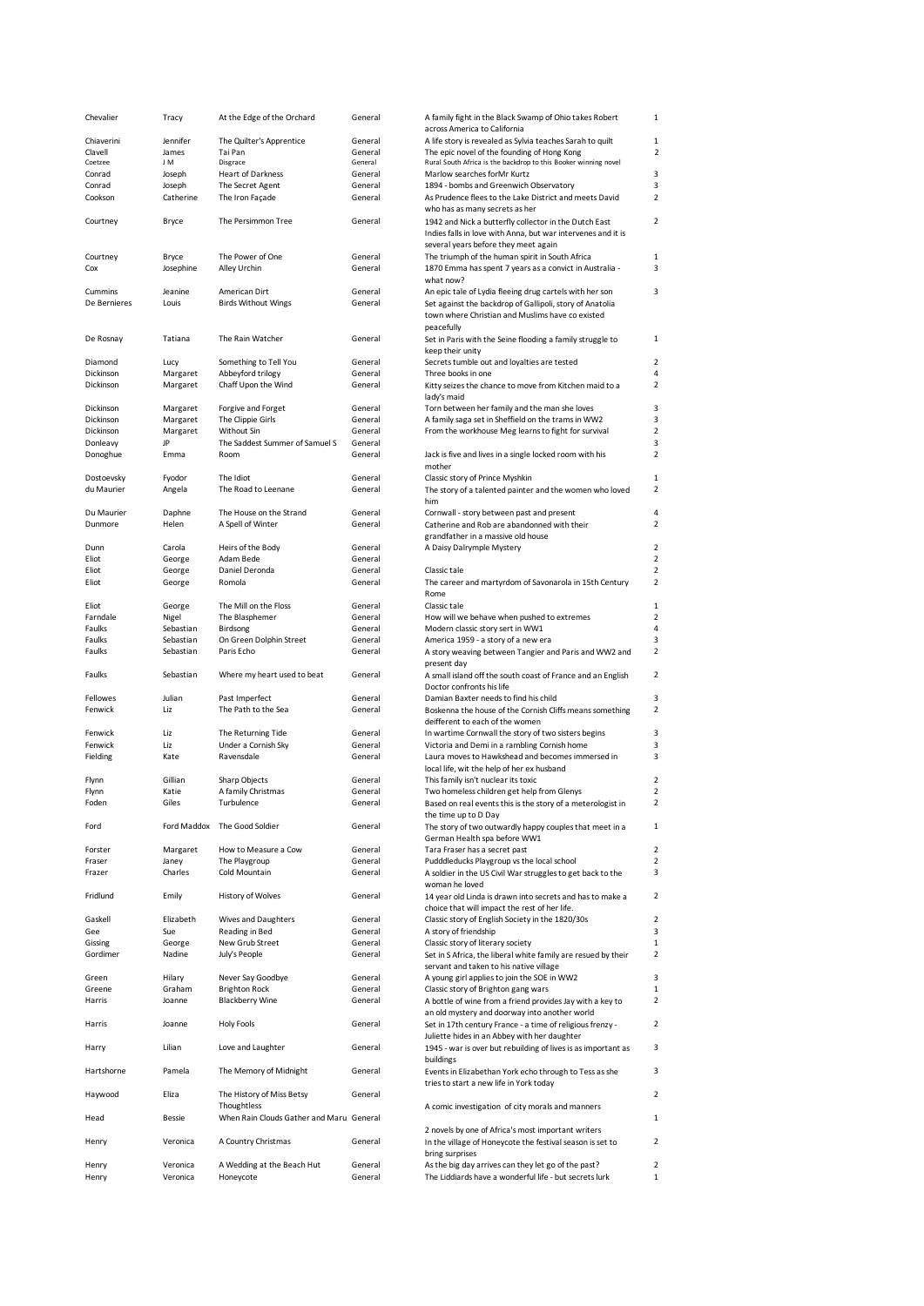| Chevalier                | Tracy            | At the Edge of the Orchard                    | General            | A family fight in the Black Swamp of Ohio takes Robert                                                                |                                  |
|--------------------------|------------------|-----------------------------------------------|--------------------|-----------------------------------------------------------------------------------------------------------------------|----------------------------------|
|                          |                  |                                               |                    | across America to California                                                                                          |                                  |
| Chiaverini               | Jennifer         | The Quilter's Apprentice                      | General            | A life story is revealed as Sylvia teaches Sarah to quilt                                                             | 1<br>2                           |
| Clavell<br>Coetzee       | James<br>J M     | Tai Pan<br>Disgrace                           | General<br>General | The epic novel of the founding of Hong Kong<br>Rural South Africa is the backdrop to this Booker winning novel        |                                  |
| Conrad                   | Joseph           | <b>Heart of Darkness</b>                      | General            | Marlow searches for Mr Kurtz                                                                                          | 3                                |
| Conrad                   | Joseph           | The Secret Agent                              | General            | 1894 - bombs and Greenwich Observatory                                                                                | 3                                |
| Cookson                  | Catherine        | The Iron Façade                               | General            | As Prudence flees to the Lake District and meets David                                                                | $\overline{a}$                   |
|                          |                  |                                               |                    | who has as many secrets as her                                                                                        |                                  |
| Courtney                 | <b>Bryce</b>     | The Persimmon Tree                            | General            | 1942 and Nick a butterfly collector in the Dutch East<br>Indies falls in love with Anna, but war intervenes and it is | $\overline{a}$                   |
|                          |                  |                                               |                    | several years before they meet again                                                                                  |                                  |
| Courtney<br>Cox          | <b>Bryce</b>     | The Power of One<br>Alley Urchin              | General<br>General | The triumph of the human spirit in South Africa<br>1870 Emma has spent 7 years as a convict in Australia -            | $\mathbf{1}$<br>3                |
|                          | Josephine        |                                               |                    | what now?                                                                                                             |                                  |
| Cummins                  | Jeanine          | American Dirt                                 | General            | An epic tale of Lydia fleeing drug cartels with her son                                                               | 3                                |
| De Bernieres             | Louis            | <b>Birds Without Wings</b>                    | General            | Set against the backdrop of Gallipoli, story of Anatolia                                                              |                                  |
|                          |                  |                                               |                    | town where Christian and Muslims have co existed<br>peacefully                                                        |                                  |
| De Rosnay                | Tatiana          | The Rain Watcher                              | General            | Set in Paris with the Seine flooding a family struggle to<br>keep their unity                                         | 1                                |
| Diamond                  | Lucy             | Something to Tell You                         | General            | Secrets tumble out and loyalties are tested                                                                           | $\overline{a}$                   |
| Dickinson                | Margaret         | Abbeyford trilogy                             | General            | Three books in one                                                                                                    | 4                                |
| Dickinson                | Margaret         | Chaff Upon the Wind                           | General            | Kitty seizes the chance to move from Kitchen maid to a<br>lady's maid                                                 | $\overline{a}$                   |
| Dickinson                | Margaret         | Forgive and Forget                            | General            | Torn between her family and the man she loves                                                                         | 3                                |
| Dickinson                | Margaret         | The Clippie Girls                             | General            | A family saga set in Sheffield on the trams in WW2                                                                    | 3                                |
| Dickinson                | Margaret<br>JP   | Without Sin<br>The Saddest Summer of Samuel S | General<br>General | From the workhouse Meg learns to fight for survival                                                                   | $\overline{a}$<br>3              |
| Donleavy<br>Donoghue     | Emma             | Room                                          | General            | Jack is five and lives in a single locked room with his                                                               | $\overline{a}$                   |
|                          |                  |                                               |                    | mother                                                                                                                |                                  |
| Dostoevsky<br>du Maurier | Fyodor           | The Idiot<br>The Road to Leenane              | General<br>General | Classic story of Prince Myshkin                                                                                       | 1<br>$\overline{\mathbf{c}}$     |
|                          | Angela           |                                               |                    | The story of a talented painter and the women who loved<br>him                                                        |                                  |
| Du Maurier               | Daphne           | The House on the Strand                       | General            | Cornwall - story between past and present                                                                             | 4                                |
| Dunmore                  | Helen            | A Spell of Winter                             | General            | Catherine and Rob are abandonned with their                                                                           | $\overline{a}$                   |
|                          |                  |                                               |                    | grandfather in a massive old house                                                                                    |                                  |
| Dunn                     | Carola           | Heirs of the Body<br>Adam Bede                | General            | A Daisy Dalrymple Mystery                                                                                             | $\overline{a}$<br>$\overline{a}$ |
| Eliot<br>Eliot           | George<br>George | Daniel Deronda                                | General<br>General | Classic tale                                                                                                          | $\overline{a}$                   |
| Eliot                    | George           | Romola                                        | General            | The career and martyrdom of Savonarola in 15th Century                                                                | $\overline{\mathbf{c}}$          |
|                          |                  |                                               |                    | Rome                                                                                                                  |                                  |
| Eliot                    | George           | The Mill on the Floss                         | General            | Classic tale                                                                                                          | $\mathbf{1}$                     |
| Farndale                 | Nigel            | The Blasphemer                                | General            | How will we behave when pushed to extremes                                                                            | $\overline{a}$                   |
| Faulks                   | Sebastian        | Birdsong                                      | General            | Modern classic story sert in WW1                                                                                      | 4                                |
| Faulks                   | Sebastian        | On Green Dolphin Street                       | General            | America 1959 - a story of a new era                                                                                   | 3                                |
| Faulks                   | Sebastian        | Paris Echo                                    | General            | A story weaving between Tangier and Paris and WW2 and<br>present day                                                  | $\overline{\mathbf{c}}$          |
| Faulks                   | Sebastian        | Where my heart used to beat                   | General            | A small island off the south coast of France and an English<br>Doctor confronts his life                              | $\overline{\mathbf{c}}$          |
| Fellowes                 | Julian           | Past Imperfect                                | General            | Damian Baxter needs to find his child                                                                                 | 3                                |
| Fenwick                  | Liz              | The Path to the Sea                           | General            | Boskenna the house of the Cornish Cliffs means something<br>deifferent to each of the women                           | $\overline{\mathbf{c}}$          |
| Fenwick                  | Liz              | The Returning Tide                            | General            | In wartime Cornwall the story of two sisters begins                                                                   | 3                                |
| Fenwick                  | Liz              | Under a Cornish Sky                           | General            | Victoria and Demi in a rambling Cornish home                                                                          | 3                                |
| Fielding                 | Kate             | Ravensdale                                    | General            | Laura moves to Hawkshead and becomes immersed in                                                                      | 3                                |
|                          |                  |                                               |                    | local life, wit the help of her ex husband                                                                            |                                  |
| Flynn                    | Gillian          | Sharp Objects                                 | General            | This family isn't nuclear its toxic                                                                                   | $\overline{\mathbf{c}}$          |
| Flynn                    | Katie            | A family Christmas                            | General            | Two homeless children get help from Glenys                                                                            | $\overline{\mathbf{c}}$          |
| Foden                    | Giles            | Turbulence                                    | General            | Based on real events this is the story of a meterologist in<br>the time up to D Day                                   | $\overline{\mathbf{c}}$          |
| Ford                     |                  | Ford Maddox The Good Soldier                  | General            | The story of two outwardly happy couples that meet in a                                                               | 1                                |
|                          |                  |                                               |                    | German Health spa before WW1                                                                                          |                                  |
| Forster                  | Margaret         | How to Measure a Cow                          | General            | Tara Fraser has a secret past                                                                                         | $\overline{2}$                   |
| Fraser                   | Janey            | The Playgroup                                 | General            | Pudddleducks Playgroup vs the local school                                                                            | $\overline{a}$                   |
| Frazer                   | Charles          | Cold Mountain                                 | General            | A soldier in the US Civil War struggles to get back to the<br>woman he loved                                          | 3                                |
| Fridlund                 | Emily            | History of Wolves                             | General            | 14 year old Linda is drawn into secrets and has to make a                                                             | $\overline{a}$                   |
| Gaskell                  | Elizabeth        | <b>Wives and Daughters</b>                    | General            | choice that will impact the rest of her life.<br>Classic story of English Society in the 1820/30s                     | $\overline{\mathbf{c}}$          |
| Gee                      | Sue              | Reading in Bed                                | General            | A story of friendship                                                                                                 | 3                                |
| Gissing                  | George           | New Grub Street                               | General            | Classic story of literary society                                                                                     | $\mathbf{1}$                     |
| Gordimer                 | Nadine           | July's People                                 | General            | Set in S Africa, the liberal white family are resued by their<br>servant and taken to his native village              | $\overline{\mathbf{c}}$          |
| Green                    | Hilary           | Never Say Goodbye                             | General            | A young girl applies to join the SOE in WW2                                                                           | 3                                |
| Greene                   | Graham           | <b>Brighton Rock</b>                          | General            | Classic story of Brighton gang wars                                                                                   | $\mathbf{1}$                     |
| Harris                   | Joanne           | <b>Blackberry Wine</b>                        | General            | A bottle of wine from a friend provides Jay with a key to                                                             | $\overline{\mathbf{c}}$          |
| Harris                   | Joanne           | Holy Fools                                    | General            | an old mystery and doorway into another world<br>Set in 17th century France - a time of religious frenzy -            | $\overline{\mathbf{c}}$          |
| Harry                    | Lilian           | Love and Laughter                             | General            | Juliette hides in an Abbey with her daughter<br>1945 - war is over but rebuilding of lives is as important as         | 3                                |
| Hartshorne               | Pamela           | The Memory of Midnight                        | General            | buildings                                                                                                             | 3                                |
|                          |                  |                                               |                    | Events in Elizabethan York echo through to Tess as she<br>tries to start a new life in York today                     |                                  |
| Haywood                  | Eliza            | The History of Miss Betsy<br>Thoughtless      | General            | A comic investigation of city morals and manners                                                                      | $\overline{a}$                   |
| Head                     | Bessie           | When Rain Clouds Gather and Maru General      |                    |                                                                                                                       | 1                                |
| Henry                    | Veronica         | A Country Christmas                           | General            | 2 novels by one of Africa's most important writers<br>In the village of Honeycote the festival season is set to       | $\overline{a}$                   |
| Henry                    | Veronica         | A Wedding at the Beach Hut                    | General            | bring surprises<br>As the big day arrives can they let go of the past?                                                | $\overline{\mathbf{c}}$          |
| Henry                    | Veronica         | Honeycote                                     | General            | The Liddiards have a wonderful life - but secrets lurk                                                                | $\mathbf{1}$                     |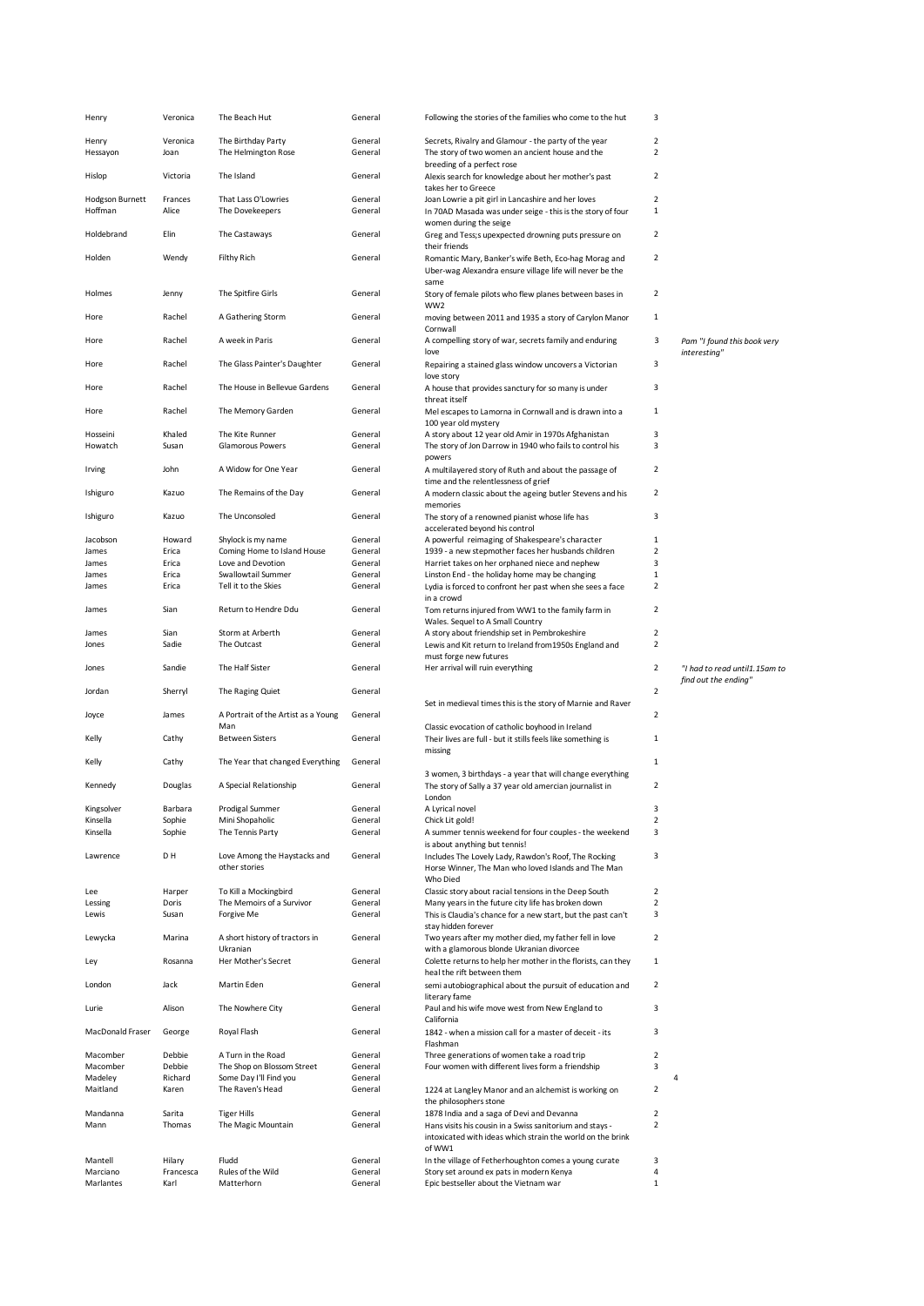| Henry                  | Veronica          | The Beach Hut                                    | General            | Following the stories of the families who come to the hut                                             | 3                   |                               |
|------------------------|-------------------|--------------------------------------------------|--------------------|-------------------------------------------------------------------------------------------------------|---------------------|-------------------------------|
| Henry                  | Veronica          | The Birthday Party                               | General            | Secrets, Rivalry and Glamour - the party of the year                                                  | $\overline{2}$      |                               |
| Hessayon               | Joan              | The Helmington Rose                              | General            | The story of two women an ancient house and the                                                       | $\overline{2}$      |                               |
|                        |                   |                                                  |                    | breeding of a perfect rose                                                                            |                     |                               |
| Hislop                 | Victoria          | The Island                                       | General            | Alexis search for knowledge about her mother's past<br>takes her to Greece                            | $\overline{2}$      |                               |
| <b>Hodgson Burnett</b> | Frances           | That Lass O'Lowries                              | General            | Joan Lowrie a pit girl in Lancashire and her loves                                                    | $\overline{2}$      |                               |
| Hoffman                | Alice             | The Dovekeepers                                  | General            | In 70AD Masada was under seige - this is the story of four                                            | 1                   |                               |
| Holdebrand             | Elin              | The Castaways                                    | General            | women during the seige<br>Greg and Tess;s upexpected drowning puts pressure on                        | $\overline{2}$      |                               |
|                        |                   |                                                  |                    | their friends                                                                                         |                     |                               |
| Holden                 | Wendy             | <b>Filthy Rich</b>                               | General            | Romantic Mary, Banker's wife Beth, Eco-hag Morag and                                                  | $\overline{2}$      |                               |
|                        |                   |                                                  |                    | Uber-wag Alexandra ensure village life will never be the<br>same                                      |                     |                               |
| Holmes                 | Jenny             | The Spitfire Girls                               | General            | Story of female pilots who flew planes between bases in                                               | $\overline{2}$      |                               |
|                        |                   |                                                  |                    | WW2                                                                                                   |                     |                               |
| Hore                   | Rachel            | A Gathering Storm                                | General            | moving between 2011 and 1935 a story of Carylon Manor<br>Cornwall                                     | $\mathbf{1}$        |                               |
| Hore                   | Rachel            | A week in Paris                                  | General            | A compelling story of war, secrets family and enduring                                                | 3                   | Pam "I found this book very   |
|                        |                   |                                                  |                    | love                                                                                                  |                     | interesting"                  |
| Hore                   | Rachel            | The Glass Painter's Daughter                     | General            | Repairing a stained glass window uncovers a Victorian<br>love story                                   | 3                   |                               |
| Hore                   | Rachel            | The House in Bellevue Gardens                    | General            | A house that provides sanctury for so many is under                                                   | 3                   |                               |
|                        |                   |                                                  |                    | threat itself                                                                                         |                     |                               |
| Hore                   | Rachel            | The Memory Garden                                | General            | Mel escapes to Lamorna in Cornwall and is drawn into a<br>100 year old mystery                        | 1                   |                               |
| Hosseini               | Khaled            | The Kite Runner                                  | General            | A story about 12 year old Amir in 1970s Afghanistan                                                   | 3                   |                               |
| Howatch                | Susan             | <b>Glamorous Powers</b>                          | General            | The story of Jon Darrow in 1940 who fails to control his                                              | 3                   |                               |
| Irving                 | John              | A Widow for One Year                             | General            | powers<br>A multilayered story of Ruth and about the passage of                                       | $\overline{2}$      |                               |
|                        |                   |                                                  |                    | time and the relentlessness of grief                                                                  |                     |                               |
| Ishiguro               | Kazuo             | The Remains of the Day                           | General            | A modern classic about the ageing butler Stevens and his                                              | $\overline{2}$      |                               |
| Ishiguro               | Kazuo             | The Unconsoled                                   | General            | memories<br>The story of a renowned pianist whose life has                                            | 3                   |                               |
|                        |                   |                                                  |                    | accelerated beyond his control                                                                        |                     |                               |
| Jacobson               | Howard            | Shylock is my name                               | General            | A powerful reimaging of Shakespeare's character                                                       | $\mathbf{1}$        |                               |
| James<br>James         | Erica<br>Erica    | Coming Home to Island House<br>Love and Devotion | General<br>General | 1939 - a new stepmother faces her husbands children<br>Harriet takes on her orphaned niece and nephew | $\overline{2}$<br>3 |                               |
| James                  | Erica             | Swallowtail Summer                               | General            | Linston End - the holiday home may be changing                                                        | $\mathbf{1}$        |                               |
| James                  | Erica             | Tell it to the Skies                             | General            | Lydia is forced to confront her past when she sees a face                                             | $\overline{2}$      |                               |
| James                  | Sian              | Return to Hendre Ddu                             | General            | in a crowd<br>Tom returns injured from WW1 to the family farm in                                      | $\overline{2}$      |                               |
|                        |                   |                                                  |                    | Wales. Sequel to A Small Country                                                                      |                     |                               |
| James                  | Sian              | Storm at Arberth                                 | General            | A story about friendship set in Pembrokeshire                                                         | $\overline{2}$      |                               |
| Jones                  | Sadie             | The Outcast                                      | General            | Lewis and Kit return to Ireland from 1950s England and<br>must forge new futures                      | $\overline{2}$      |                               |
|                        |                   |                                                  |                    |                                                                                                       |                     |                               |
| Jones                  | Sandie            | The Half Sister                                  | General            | Her arrival will ruin everything                                                                      | $\overline{2}$      | "I had to read until1.15am to |
|                        |                   |                                                  |                    |                                                                                                       |                     | find out the ending"          |
| Jordan                 | Sherryl           | The Raging Quiet                                 | General            |                                                                                                       | $\overline{2}$      |                               |
| Joyce                  | James             | A Portrait of the Artist as a Young              | General            | Set in medieval times this is the story of Marnie and Raver                                           | $\overline{2}$      |                               |
|                        |                   | Man                                              |                    | Classic evocation of catholic boyhood in Ireland                                                      |                     |                               |
| Kelly                  | Cathy             | <b>Between Sisters</b>                           | General            | Their lives are full - but it stills feels like something is<br>missing                               | 1                   |                               |
| Kelly                  | Cathy             | The Year that changed Everything                 | General            |                                                                                                       | $\mathbf{1}$        |                               |
|                        |                   | A Special Relationship                           | General            | 3 women, 3 birthdays - a year that will change everything                                             |                     |                               |
| Kennedy                | Douglas           |                                                  |                    | The story of Sally a 37 year old amercian journalist in<br>London                                     | $\overline{2}$      |                               |
| Kingsolver             | Barbara           | Prodigal Summer                                  | General            | A Lyrical novel                                                                                       | 3                   |                               |
| Kinsella               | Sophie            | Mini Shopaholic                                  | General            | Chick Lit gold!                                                                                       | $\overline{2}$      |                               |
| Kinsella               | Sophie            | The Tennis Party                                 | General            | A summer tennis weekend for four couples - the weekend<br>is about anything but tennis!               | 3                   |                               |
| Lawrence               | D H               | Love Among the Haystacks and                     | General            | Includes The Lovely Lady, Rawdon's Roof, The Rocking                                                  | 3                   |                               |
|                        |                   | other stories                                    |                    | Horse Winner, The Man who loved Islands and The Man<br>Who Died                                       |                     |                               |
| Lee                    | Harper            | To Kill a Mockingbird                            | General            | Classic story about racial tensions in the Deep South                                                 | $\overline{2}$      |                               |
| Lessing                | Doris             | The Memoirs of a Survivor                        | General            | Many years in the future city life has broken down                                                    | $\overline{2}$      |                               |
| Lewis                  | Susan             | Forgive Me                                       | General            | This is Claudia's chance for a new start, but the past can't<br>stay hidden forever                   | 3                   |                               |
| Lewycka                | Marina            | A short history of tractors in                   | General            | Two years after my mother died, my father fell in love                                                | $\overline{2}$      |                               |
|                        |                   | Ukranian                                         |                    | with a glamorous blonde Ukranian divorcee                                                             |                     |                               |
| Ley                    | Rosanna           | Her Mother's Secret                              | General            | Colette returns to help her mother in the florists, can they<br>heal the rift between them            | 1                   |                               |
| London                 | Jack              | Martin Eden                                      | General            | semi autobiographical about the pursuit of education and                                              | $\overline{2}$      |                               |
|                        |                   |                                                  |                    | literary fame                                                                                         |                     |                               |
| Lurie                  | Alison            | The Nowhere City                                 | General            | Paul and his wife move west from New England to<br>California                                         | 3                   |                               |
| MacDonald Fraser       | George            | Royal Flash                                      | General            | 1842 - when a mission call for a master of deceit - its                                               | 3                   |                               |
| Macomber               | Debbie            | A Turn in the Road                               | General            | Flashman<br>Three generations of women take a road trip                                               | $\overline{2}$      |                               |
| Macomber               | Debbie            | The Shop on Blossom Street                       | General            | Four women with different lives form a friendship                                                     | 3                   |                               |
| Madeley                | Richard           | Some Day I'll Find you                           | General            |                                                                                                       |                     | 4                             |
| Maitland               | Karen             | The Raven's Head                                 | General            | 1224 at Langley Manor and an alchemist is working on<br>the philosophers stone                        | $\overline{2}$      |                               |
| Mandanna               | Sarita            | <b>Tiger Hills</b>                               | General            | 1878 India and a saga of Devi and Devanna                                                             | $\overline{2}$      |                               |
| Mann                   | Thomas            | The Magic Mountain                               | General            | Hans visits his cousin in a Swiss sanitorium and stays -                                              | $\overline{2}$      |                               |
|                        |                   |                                                  |                    | intoxicated with ideas which strain the world on the brink<br>of WW1                                  |                     |                               |
| Mantell                | Hilary            | Fludd                                            | General            | In the village of Fetherhoughton comes a young curate                                                 | 3                   |                               |
| Marciano<br>Marlantes  | Francesca<br>Karl | Rules of the Wild<br>Matterhorn                  | General<br>General | Story set around ex pats in modern Kenya<br>Epic bestseller about the Vietnam war                     | 4<br>$\mathbf{1}$   |                               |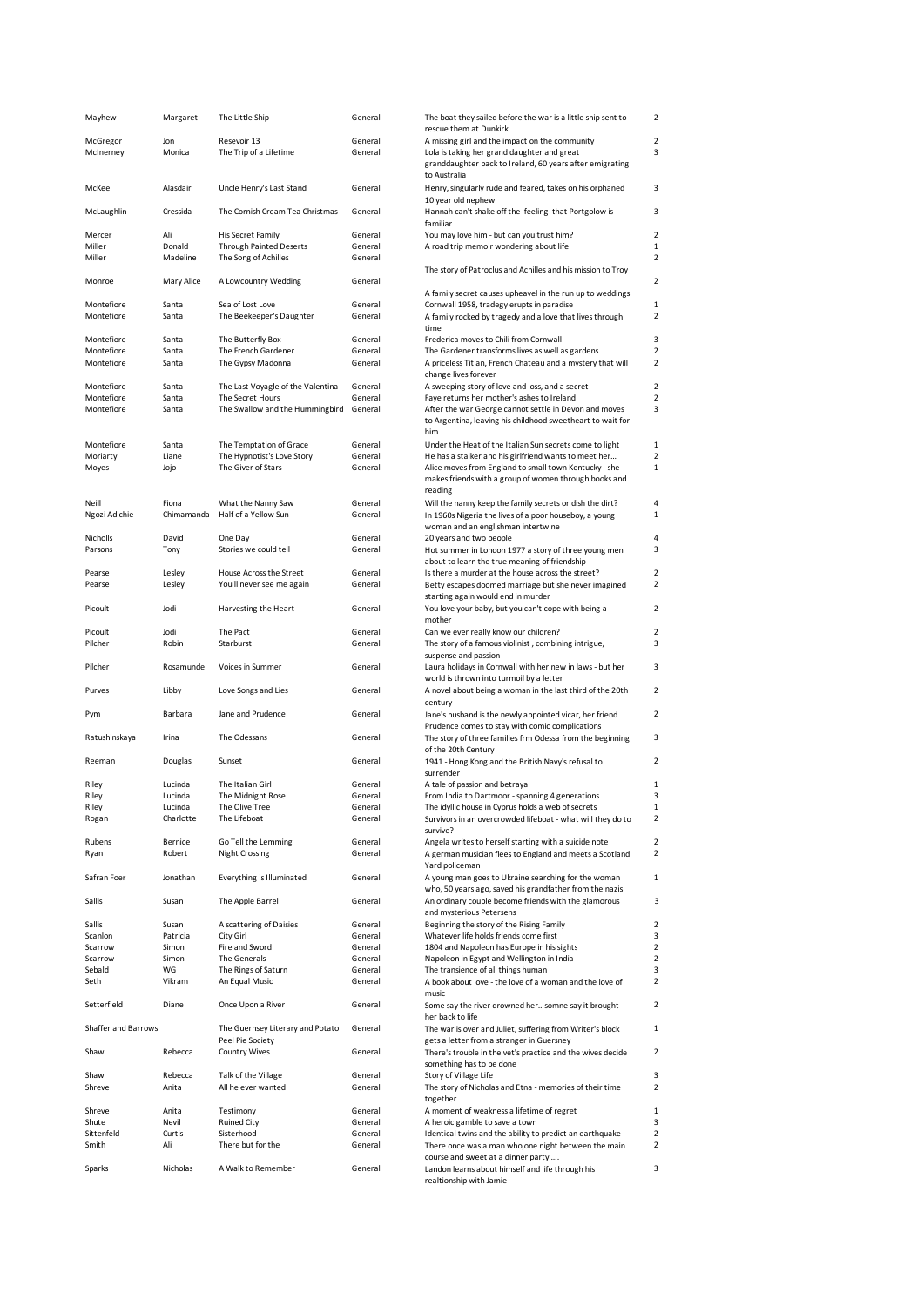| Mayhew                   | Margaret           | The Little Ship                                     | General            | The boat they sailed before the war is a little ship sent to<br>rescue them at Dunkirk                                     | $\overline{2}$                   |
|--------------------------|--------------------|-----------------------------------------------------|--------------------|----------------------------------------------------------------------------------------------------------------------------|----------------------------------|
| McGregor                 | Jon                | Resevoir 13                                         | General            | A missing girl and the impact on the community                                                                             | $\overline{2}$                   |
| McInerney                | Monica             | The Trip of a Lifetime                              | General            | Lola is taking her grand daughter and great<br>granddaughter back to Ireland, 60 years after emigrating                    | 3                                |
| McKee                    | Alasdair           | Uncle Henry's Last Stand                            | General            | to Australia<br>Henry, singularly rude and feared, takes on his orphaned<br>10 year old nephew                             | 3                                |
| McLaughlin               | Cressida           | The Cornish Cream Tea Christmas                     | General            | Hannah can't shake off the feeling that Portgolow is<br>familiar                                                           | 3                                |
| Mercer                   | Ali                | <b>His Secret Family</b>                            | General            | You may love him - but can you trust him?                                                                                  | $\overline{2}$                   |
| Miller                   | Donald             | <b>Through Painted Deserts</b>                      | General            | A road trip memoir wondering about life                                                                                    | $\mathbf{1}$                     |
| Miller                   | Madeline           | The Song of Achilles                                | General            | The story of Patroclus and Achilles and his mission to Troy                                                                | $\overline{2}$                   |
| Monroe                   | Mary Alice         | A Lowcountry Wedding                                | General            |                                                                                                                            | $\overline{2}$                   |
|                          |                    |                                                     |                    | A family secret causes upheavel in the run up to weddings                                                                  |                                  |
| Montefiore<br>Montefiore | Santa<br>Santa     | Sea of Lost Love<br>The Beekeeper's Daughter        | General<br>General | Cornwall 1958, tradegy erupts in paradise<br>A family rocked by tragedy and a love that lives through<br>time              | $\mathbf{1}$<br>2                |
| Montefiore               | Santa              | The Butterfly Box                                   | General            | Frederica moves to Chili from Cornwall                                                                                     | 3                                |
| Montefiore               | Santa              | The French Gardener                                 | General            | The Gardener transforms lives as well as gardens                                                                           | $\overline{2}$                   |
| Montefiore               | Santa              | The Gypsy Madonna                                   | General            | A priceless Titian, French Chateau and a mystery that will<br>change lives forever                                         | 2                                |
| Montefiore               | Santa              | The Last Voyagle of the Valentina                   | General            | A sweeping story of love and loss, and a secret                                                                            | $\overline{2}$                   |
| Montefiore               | Santa              | The Secret Hours<br>The Swallow and the Hummingbird | General            | Faye returns her mother's ashes to Ireland                                                                                 | $\overline{2}$                   |
| Montefiore               | Santa              |                                                     | General            | After the war George cannot settle in Devon and moves<br>to Argentina, leaving his childhood sweetheart to wait for<br>him | 3                                |
| Montefiore               | Santa              | The Temptation of Grace                             | General            | Under the Heat of the Italian Sun secrets come to light                                                                    | $\mathbf{1}$                     |
| Moriarty                 | Liane              | The Hypnotist's Love Story                          | General            | He has a stalker and his girlfriend wants to meet her                                                                      | $\overline{2}$                   |
| Moyes                    | Jojo               | The Giver of Stars                                  | General            | Alice moves from England to small town Kentucky - she<br>makes friends with a group of women through books and<br>reading  | $\mathbf{1}$                     |
| Neill                    | Fiona              | What the Nanny Saw                                  | General            | Will the nanny keep the family secrets or dish the dirt?                                                                   | $\sqrt{4}$                       |
| Ngozi Adichie            | Chimamanda         | Half of a Yellow Sun                                | General            | In 1960s Nigeria the lives of a poor houseboy, a young                                                                     | $\mathbf{1}$                     |
|                          | David              |                                                     | General            | woman and an englishman intertwine                                                                                         | $\overline{4}$                   |
| Nicholls<br>Parsons      | Tony               | One Day<br>Stories we could tell                    | General            | 20 years and two people<br>Hot summer in London 1977 a story of three young men                                            | 3                                |
|                          |                    |                                                     |                    | about to learn the true meaning of friendship                                                                              |                                  |
| Pearse                   | Lesley             | House Across the Street                             | General            | Is there a murder at the house across the street?                                                                          | $\overline{2}$                   |
| Pearse                   | Lesley             | You'll never see me again                           | General            | Betty escapes doomed marriage but she never imagined<br>starting again would end in murder                                 | $\overline{2}$                   |
| Picoult                  | Jodi               | Harvesting the Heart                                | General            | You love your baby, but you can't cope with being a<br>mother                                                              | $\overline{2}$                   |
| Picoult                  | Jodi               | The Pact                                            | General            | Can we ever really know our children?                                                                                      | $\overline{2}$                   |
| Pilcher                  | Robin              | Starburst                                           | General            | The story of a famous violinist, combining intrigue,                                                                       | 3                                |
| Pilcher                  | Rosamunde          | Voices in Summer                                    | General            | suspense and passion<br>Laura holidays in Cornwall with her new in laws - but her                                          | 3                                |
|                          |                    |                                                     |                    | world is thrown into turmoil by a letter                                                                                   |                                  |
| Purves                   | Libby              | Love Songs and Lies                                 | General            | A novel about being a woman in the last third of the 20th<br>century                                                       | $\overline{2}$                   |
| Pym                      | Barbara            | Jane and Prudence                                   | General            | Jane's husband is the newly appointed vicar, her friend<br>Prudence comes to stay with comic complications                 | $\overline{2}$                   |
| Ratushinskaya            | Irina              | The Odessans                                        | General            | The story of three families frm Odessa from the beginning                                                                  | 3                                |
| Reeman                   | Douglas            | Sunset                                              | General            | of the 20th Century<br>1941 - Hong Kong and the British Navy's refusal to                                                  | $\overline{2}$                   |
|                          |                    |                                                     |                    | surrender                                                                                                                  |                                  |
| Riley<br>Riley           | Lucinda<br>Lucinda | The Italian Girl<br>The Midnight Rose               | General<br>General | A tale of passion and betrayal<br>From India to Dartmoor - spanning 4 generations                                          | $\mathbf{1}$<br>3                |
| Riley                    | Lucinda            | The Olive Tree                                      | General            | The idyllic house in Cyprus holds a web of secrets                                                                         | $\,1\,$                          |
| Rogan                    | Charlotte          | The Lifeboat                                        | General            | Survivors in an overcrowded lifeboat - what will they do to<br>survive?                                                    | 2                                |
| Rubens                   | Bernice            | Go Tell the Lemming                                 | General            | Angela writes to herself starting with a suicide note                                                                      | $\overline{2}$                   |
| Ryan                     | Robert             | <b>Night Crossing</b>                               | General            | A german musician flees to England and meets a Scotland<br>Yard policeman                                                  | $\overline{2}$                   |
| Safran Foer              | Jonathan           | Everything is Illuminated                           | General            | A young man goes to Ukraine searching for the woman<br>who, 50 years ago, saved his grandfather from the nazis             | $\mathbf{1}$                     |
| Sallis                   | Susan              | The Apple Barrel                                    | General            | An ordinary couple become friends with the glamorous                                                                       | 3                                |
| Sallis                   | Susan              | A scattering of Daisies                             | General            | and mysterious Petersens<br>Beginning the story of the Rising Family                                                       | $\overline{2}$                   |
| Scanlon                  | Patricia           | City Girl                                           | General            | Whatever life holds friends come first                                                                                     | 3                                |
| Scarrow                  | Simon              | Fire and Sword                                      | General            | 1804 and Napoleon has Europe in his sights                                                                                 | $\overline{2}$                   |
| Scarrow<br>Sebald        | Simon<br>WG        | The Generals<br>The Rings of Saturn                 | General<br>General | Napoleon in Egypt and Wellington in India<br>The transience of all things human                                            | $\overline{2}$<br>3              |
| Seth                     | Vikram             | An Equal Music                                      | General            | A book about love - the love of a woman and the love of                                                                    | $\overline{2}$                   |
| Setterfield              | Diane              | Once Upon a River                                   | General            | music<br>Some say the river drowned hersomne say it brought                                                                | $\overline{2}$                   |
| Shaffer and Barrows      |                    | The Guernsey Literary and Potato                    | General            | her back to life<br>The war is over and Juliet, suffering from Writer's block                                              | $\mathbf{1}$                     |
|                          |                    | Peel Pie Society                                    |                    | gets a letter from a stranger in Guersney                                                                                  |                                  |
| Shaw                     | Rebecca            | Country Wives                                       | General            | There's trouble in the vet's practice and the wives decide<br>something has to be done                                     | $\overline{2}$                   |
| Shaw                     | Rebecca            | Talk of the Village                                 | General            | Story of Village Life                                                                                                      | 3                                |
| Shreve                   | Anita              | All he ever wanted                                  | General            | The story of Nicholas and Etna - memories of their time<br>together                                                        | $\overline{2}$                   |
| Shreve                   | Anita              | Testimony                                           | General            | A moment of weakness a lifetime of regret                                                                                  | $1\,$                            |
| Shute                    | Nevil              | <b>Ruined City</b>                                  | General            | A heroic gamble to save a town                                                                                             | 3                                |
| Sittenfeld<br>Smith      | Curtis<br>Ali      | Sisterhood<br>There but for the                     | General<br>General | Identical twins and the ability to predict an earthquake<br>There once was a man who, one night between the main           | $\overline{2}$<br>$\overline{2}$ |
|                          |                    |                                                     |                    | course and sweet at a dinner party                                                                                         |                                  |
| Sparks                   | Nicholas           | A Walk to Remember                                  | General            | Landon learns about himself and life through his<br>realtionship with Jamie                                                | 3                                |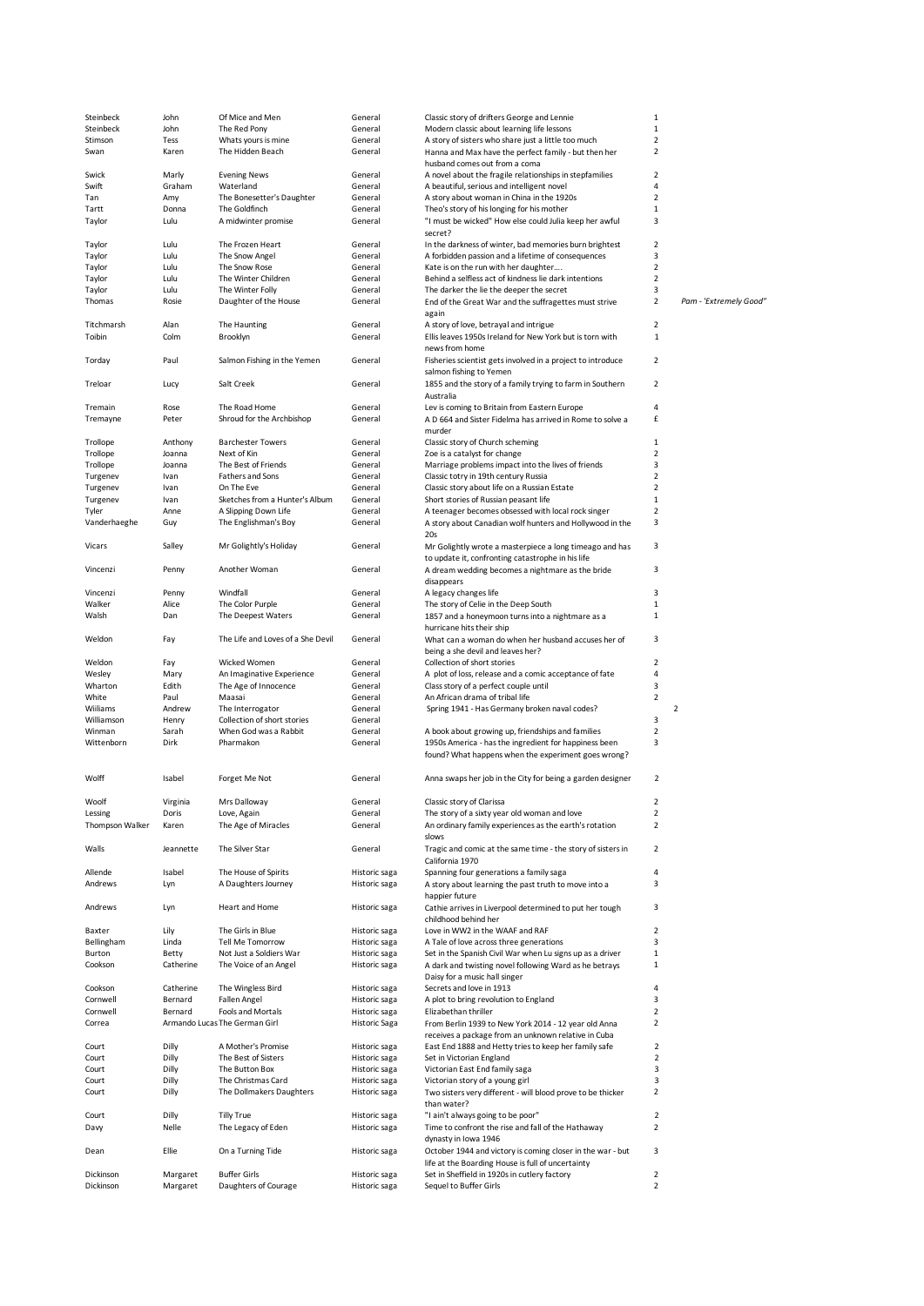| Steinbeck              | John                 | Of Mice and Men                             | General                        | Classic story of drifters George and Lennie                            | $1\,$                            |                |                        |
|------------------------|----------------------|---------------------------------------------|--------------------------------|------------------------------------------------------------------------|----------------------------------|----------------|------------------------|
| Steinbeck              | John                 | The Red Pony                                | General                        | Modern classic about learning life lessons                             | $\mathbf{1}$                     |                |                        |
| Stimson                | Tess                 | Whats yours is mine                         | General                        | A story of sisters who share just a little too much                    | $\overline{2}$                   |                |                        |
| Swan                   | Karen                | The Hidden Beach                            | General                        |                                                                        | $\overline{2}$                   |                |                        |
|                        |                      |                                             |                                | Hanna and Max have the perfect family - but then her                   |                                  |                |                        |
|                        |                      |                                             |                                | husband comes out from a coma                                          |                                  |                |                        |
| Swick                  | Marly                | <b>Evening News</b>                         | General                        | A novel about the fragile relationships in stepfamilies                | $\overline{2}$                   |                |                        |
| Swift                  | Graham               | Waterland                                   | General                        | A beautiful, serious and intelligent novel                             | $\overline{4}$                   |                |                        |
| Tan                    | Amy                  | The Bonesetter's Daughter                   | General                        | A story about woman in China in the 1920s                              | $\overline{2}$                   |                |                        |
| Tartt                  | Donna                | The Goldfinch                               | General                        | Theo's story of his longing for his mother                             | $\mathbf{1}$                     |                |                        |
| Taylor                 | Lulu                 | A midwinter promise                         | General                        | "I must be wicked" How else could Julia keep her awful                 | 3                                |                |                        |
|                        |                      |                                             |                                | secret?                                                                |                                  |                |                        |
| Taylor                 | Lulu                 | The Frozen Heart                            | General                        | In the darkness of winter, bad memories burn brightest                 | $\overline{2}$                   |                |                        |
| Taylor                 | Lulu                 | The Snow Angel                              | General                        | A forbidden passion and a lifetime of consequences                     | 3                                |                |                        |
| Taylor                 | Lulu                 | The Snow Rose                               | General                        | Kate is on the run with her daughter                                   | $\overline{2}$                   |                |                        |
| Taylor                 | Lulu                 | The Winter Children                         | General                        | Behind a selfless act of kindness lie dark intentions                  | $\overline{2}$                   |                |                        |
| Taylor                 | Lulu                 | The Winter Folly                            | General                        | The darker the lie the deeper the secret                               | 3                                |                |                        |
| Thomas                 | Rosie                | Daughter of the House                       | General                        | End of the Great War and the suffragettes must strive                  | $\overline{2}$                   |                | Pam - 'Extremely Good" |
|                        |                      |                                             |                                |                                                                        |                                  |                |                        |
|                        |                      |                                             |                                | again                                                                  |                                  |                |                        |
| Titchmarsh             | Alan                 | The Haunting                                | General                        | A story of love, betrayal and intrigue                                 | $\overline{2}$                   |                |                        |
| Toibin                 | Colm                 | Brooklyn                                    | General                        | Ellis leaves 1950s Ireland for New York but is torn with               | $\mathbf{1}$                     |                |                        |
|                        |                      |                                             |                                | news from home                                                         |                                  |                |                        |
| Torday                 | Paul                 | Salmon Fishing in the Yemen                 | General                        | Fisheries scientist gets involved in a project to introduce            | $\overline{2}$                   |                |                        |
|                        |                      |                                             |                                | salmon fishing to Yemen                                                |                                  |                |                        |
| Treloar                | Lucy                 | Salt Creek                                  | General                        | 1855 and the story of a family trying to farm in Southern              | $\overline{2}$                   |                |                        |
|                        |                      |                                             |                                | Australia                                                              |                                  |                |                        |
| Tremain                | Rose                 | The Road Home                               | General                        | Lev is coming to Britain from Eastern Europe                           | $\overline{4}$                   |                |                        |
| Tremayne               | Peter                | Shroud for the Archbishop                   | General                        | A D 664 and Sister Fidelma has arrived in Rome to solve a              | £                                |                |                        |
|                        |                      |                                             |                                | murder                                                                 |                                  |                |                        |
|                        |                      |                                             |                                |                                                                        |                                  |                |                        |
| Trollope               | Anthony              | <b>Barchester Towers</b>                    | General                        | Classic story of Church scheming                                       | $\mathbf{1}$                     |                |                        |
| Trollope               | Joanna               | Next of Kin                                 | General                        | Zoe is a catalyst for change                                           | $\overline{2}$                   |                |                        |
| Trollope               | Joanna               | The Best of Friends                         | General                        | Marriage problems impact into the lives of friends                     | 3                                |                |                        |
| Turgenev               | Ivan                 | Fathers and Sons                            | General                        | Classic totry in 19th century Russia                                   | $\overline{2}$                   |                |                        |
| Turgenev               | Ivan                 | On The Eve                                  | General                        | Classic story about life on a Russian Estate                           | $\overline{2}$                   |                |                        |
| Turgenev               | Ivan                 | Sketches from a Hunter's Album              | General                        | Short stories of Russian peasant life                                  | $1\,$                            |                |                        |
| Tyler                  | Anne                 | A Slipping Down Life                        | General                        | A teenager becomes obsessed with local rock singer                     | $\mathbf 2$                      |                |                        |
| Vanderhaeghe           | Guy                  | The Englishman's Boy                        | General                        | A story about Canadian wolf hunters and Hollywood in the               | 3                                |                |                        |
|                        |                      |                                             |                                | 20s                                                                    |                                  |                |                        |
| Vicars                 | Salley               | Mr Golightly's Holiday                      | General                        | Mr Golightly wrote a masterpiece a long timeago and has                | 3                                |                |                        |
|                        |                      |                                             |                                | to update it, confronting catastrophe in his life                      |                                  |                |                        |
|                        |                      |                                             |                                |                                                                        |                                  |                |                        |
| Vincenzi               | Penny                | Another Woman                               | General                        | A dream wedding becomes a nightmare as the bride                       | 3                                |                |                        |
|                        |                      |                                             |                                | disappears                                                             |                                  |                |                        |
| Vincenzi               | Penny                | Windfall                                    | General                        | A legacy changes life                                                  | 3                                |                |                        |
| Walker                 | Alice                | The Color Purple                            | General                        | The story of Celie in the Deep South                                   | $1\,$                            |                |                        |
| Walsh                  | Dan                  | The Deepest Waters                          | General                        | 1857 and a honeymoon turns into a nightmare as a                       | $1\,$                            |                |                        |
|                        |                      |                                             |                                | hurricane hits their ship                                              |                                  |                |                        |
| Weldon                 | Fay                  | The Life and Loves of a She Devil           | General                        | What can a woman do when her husband accuses her of                    | 3                                |                |                        |
|                        |                      |                                             |                                | being a she devil and leaves her?                                      |                                  |                |                        |
| Weldon                 | Fay                  | Wicked Women                                | General                        | Collection of short stories                                            | $\overline{2}$                   |                |                        |
|                        |                      |                                             | General                        |                                                                        | 4                                |                |                        |
| Wesley                 | Mary                 | An Imaginative Experience                   |                                | A plot of loss, release and a comic acceptance of fate                 |                                  |                |                        |
| Wharton                | Edith                | The Age of Innocence                        | General                        | Class story of a perfect couple until                                  | 3                                |                |                        |
| White                  | Paul                 | Maasai                                      | General                        | An African drama of tribal life                                        | $\overline{2}$                   |                |                        |
| Wiiliams               | Andrew               | The Interrogator                            | General                        | Spring 1941 - Has Germany broken naval codes?                          |                                  | $\overline{2}$ |                        |
| Williamson             | Henry                | Collection of short stories                 | General                        |                                                                        | 3                                |                |                        |
| Winman                 | Sarah                | When God was a Rabbit                       | General                        | A book about growing up, friendships and families                      | $\mathbf 2$                      |                |                        |
| Wittenborn             | Dirk                 | Pharmakon                                   | General                        | 1950s America - has the ingredient for happiness been                  | 3                                |                |                        |
|                        |                      |                                             |                                | found? What happens when the experiment goes wrong?                    |                                  |                |                        |
|                        |                      |                                             |                                |                                                                        |                                  |                |                        |
| Wolff                  | Isabel               | Forget Me Not                               | General                        | Anna swaps her job in the City for being a garden designer             | $\overline{2}$                   |                |                        |
|                        |                      |                                             |                                |                                                                        |                                  |                |                        |
|                        |                      |                                             |                                |                                                                        |                                  |                |                        |
| Woolf                  | Virginia             | Mrs Dalloway                                | General                        | Classic story of Clarissa                                              | $\overline{2}$                   |                |                        |
| Lessing                | Doris                | Love, Again                                 | General                        | The story of a sixty year old woman and love                           | $\overline{2}$                   |                |                        |
| Thompson Walker        | Karen                | The Age of Miracles                         | General                        | An ordinary family experiences as the earth's rotation                 | $\overline{2}$                   |                |                        |
|                        |                      |                                             |                                | slows                                                                  |                                  |                |                        |
| Walls                  | Jeannette            | The Silver Star                             | General                        | Tragic and comic at the same time - the story of sisters in            | $\overline{2}$                   |                |                        |
|                        |                      |                                             |                                | California 1970                                                        |                                  |                |                        |
| Allende                | Isabel               | The House of Spirits                        | Historic saga                  | Spanning four generations a family saga                                | 4                                |                |                        |
| Andrews                | Lyn                  | A Daughters Journey                         | Historic saga                  | A story about learning the past truth to move into a                   | 3                                |                |                        |
|                        |                      |                                             |                                | happier future                                                         |                                  |                |                        |
| Andrews                | Lyn                  | <b>Heart and Home</b>                       | Historic saga                  | Cathie arrives in Liverpool determined to put her tough                | 3                                |                |                        |
|                        |                      |                                             |                                | childhood behind her                                                   |                                  |                |                        |
|                        |                      |                                             |                                |                                                                        |                                  |                |                        |
| Baxter                 | Lily                 | The Girls in Blue                           | Historic saga                  | Love in WW2 in the WAAF and RAF                                        | $\overline{2}$                   |                |                        |
| Bellingham             | Linda                | Tell Me Tomorrow                            | Historic saga                  | A Tale of love across three generations                                | 3                                |                |                        |
| Burton                 | Betty                | Not Just a Soldiers War                     | Historic saga                  | Set in the Spanish Civil War when Lu signs up as a driver              | $\mathbf{1}$                     |                |                        |
| Cookson                | Catherine            | The Voice of an Angel                       | Historic saga                  | A dark and twisting novel following Ward as he betrays                 | $\mathbf{1}$                     |                |                        |
|                        |                      |                                             |                                | Daisy for a music hall singer                                          |                                  |                |                        |
| Cookson                | Catherine            | The Wingless Bird                           | Historic saga                  | Secrets and love in 1913                                               | 4                                |                |                        |
| Cornwell               | Bernard              | <b>Fallen Angel</b>                         | Historic saga                  | A plot to bring revolution to England                                  | 3                                |                |                        |
| Cornwell               | Bernard              | Fools and Mortals                           | Historic saga                  | Elizabethan thriller                                                   | $\overline{2}$                   |                |                        |
| Correa                 |                      | Armando Lucas The German Girl               | Historic Saga                  | From Berlin 1939 to New York 2014 - 12 year old Anna                   | $\overline{2}$                   |                |                        |
|                        |                      |                                             |                                | receives a package from an unknown relative in Cuba                    |                                  |                |                        |
| Court                  | Dilly                | A Mother's Promise                          | Historic saga                  | East End 1888 and Hetty tries to keep her family safe                  | $\overline{2}$                   |                |                        |
|                        |                      |                                             |                                |                                                                        | $\overline{2}$                   |                |                        |
| Court                  | Dilly                | The Best of Sisters                         | Historic saga                  | Set in Victorian England                                               |                                  |                |                        |
| Court                  | Dilly                | The Button Box                              | Historic saga                  | Victorian East End family saga                                         | 3                                |                |                        |
| Court                  | Dilly                | The Christmas Card                          | Historic saga                  | Victorian story of a young girl                                        | 3                                |                |                        |
| Court                  | Dilly                | The Dollmakers Daughters                    | Historic saga                  | Two sisters very different - will blood prove to be thicker            | $\overline{2}$                   |                |                        |
|                        |                      |                                             |                                | than water?                                                            |                                  |                |                        |
| Court                  |                      | <b>Tilly True</b>                           | Historic saga                  | "I ain't always going to be poor"                                      | $\overline{2}$                   |                |                        |
|                        | Dilly                |                                             |                                |                                                                        | $\overline{2}$                   |                |                        |
| Davy                   | Nelle                | The Legacy of Eden                          | Historic saga                  | Time to confront the rise and fall of the Hathaway                     |                                  |                |                        |
|                        |                      |                                             |                                | dynasty in Iowa 1946                                                   |                                  |                |                        |
| Dean                   | Ellie                | On a Turning Tide                           | Historic saga                  | October 1944 and victory is coming closer in the war - but             | 3                                |                |                        |
|                        |                      |                                             |                                |                                                                        |                                  |                |                        |
|                        |                      |                                             |                                | life at the Boarding House is full of uncertainty                      |                                  |                |                        |
| Dickinson<br>Dickinson | Margaret<br>Margaret | <b>Buffer Girls</b><br>Daughters of Courage | Historic saga<br>Historic saga | Set in Sheffield in 1920s in cutlery factory<br>Sequel to Buffer Girls | $\overline{2}$<br>$\overline{2}$ |                |                        |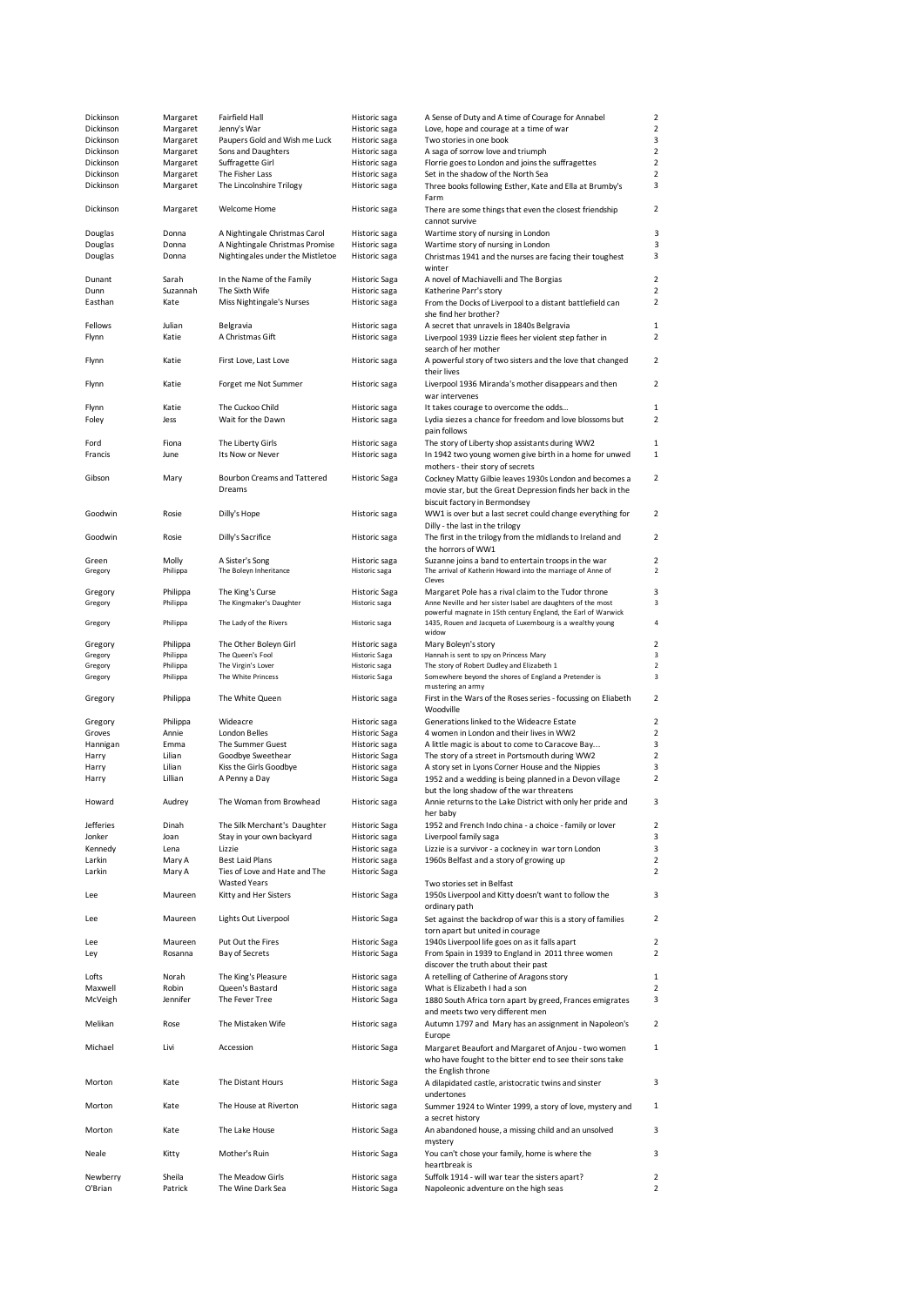| Dickinson        | Margaret      | Fairfield Hall                        | Historic saga                  | A Sense of Duty and A time of Courage for Annabel                                                      | $\mathbf 2$             |
|------------------|---------------|---------------------------------------|--------------------------------|--------------------------------------------------------------------------------------------------------|-------------------------|
| Dickinson        | Margaret      | Jenny's War                           | Historic saga                  | Love, hope and courage at a time of war                                                                | $\overline{2}$          |
| Dickinson        | Margaret      | Paupers Gold and Wish me Luck         | Historic saga                  | Two stories in one book                                                                                | 3                       |
| Dickinson        | Margaret      | Sons and Daughters                    | Historic saga                  | A saga of sorrow love and triumph                                                                      | $\overline{2}$          |
| Dickinson        | Margaret      | Suffragette Girl                      | Historic saga                  | Florrie goes to London and joins the suffragettes                                                      | $\overline{2}$          |
| Dickinson        | Margaret      | The Fisher Lass                       | Historic saga                  | Set in the shadow of the North Sea                                                                     | $\overline{2}$          |
| Dickinson        | Margaret      | The Lincolnshire Trilogy              | Historic saga                  | Three books following Esther, Kate and Ella at Brumby's<br>Farm                                        | 3                       |
| Dickinson        | Margaret      | Welcome Home                          | Historic saga                  | There are some things that even the closest friendship<br>cannot survive                               | 2                       |
| Douglas          | Donna         | A Nightingale Christmas Carol         | Historic saga                  | Wartime story of nursing in London                                                                     | 3                       |
| Douglas          | Donna         | A Nightingale Christmas Promise       | Historic saga                  | Wartime story of nursing in London                                                                     | 3                       |
| Douglas          | Donna         | Nightingales under the Mistletoe      | Historic saga                  | Christmas 1941 and the nurses are facing their toughest                                                | 3                       |
|                  |               |                                       |                                | winter                                                                                                 |                         |
| Dunant           | Sarah         | In the Name of the Family             | Historic Saga                  | A novel of Machiavelli and The Borgias                                                                 | $\overline{2}$          |
| Dunn             | Suzannah      | The Sixth Wife                        | Historic saga                  | Katherine Parr's story                                                                                 | 2                       |
| Easthan          | Kate          | Miss Nightingale's Nurses             | Historic saga                  | From the Docks of Liverpool to a distant battlefield can                                               | 2                       |
|                  |               |                                       |                                | she find her brother?                                                                                  |                         |
| Fellows          | Julian        | Belgravia                             | Historic saga                  | A secret that unravels in 1840s Belgravia                                                              | $\mathbf{1}$            |
| Flynn            | Katie         | A Christmas Gift                      | Historic saga                  | Liverpool 1939 Lizzie flees her violent step father in                                                 | $\overline{\mathbf{c}}$ |
|                  |               |                                       |                                | search of her mother                                                                                   |                         |
| Flynn            | Katie         | First Love, Last Love                 | Historic saga                  | A powerful story of two sisters and the love that changed                                              | $\overline{2}$          |
|                  |               |                                       |                                | their lives                                                                                            | $\overline{2}$          |
| Flynn            | Katie         | Forget me Not Summer                  | Historic saga                  | Liverpool 1936 Miranda's mother disappears and then                                                    |                         |
|                  |               |                                       |                                | war intervenes                                                                                         | $\mathbf 1$             |
| Flynn<br>Foley   | Katie<br>Jess | The Cuckoo Child<br>Wait for the Dawn | Historic saga<br>Historic saga | It takes courage to overcome the odds<br>Lydia siezes a chance for freedom and love blossoms but       | $\overline{2}$          |
|                  |               |                                       |                                | pain follows                                                                                           |                         |
|                  | Fiona         |                                       |                                | The story of Liberty shop assistants during WW2                                                        | $\mathbf 1$             |
| Ford<br>Francis  | June          | The Liberty Girls<br>Its Now or Never | Historic saga<br>Historic saga |                                                                                                        | $\mathbf{1}$            |
|                  |               |                                       |                                | In 1942 two young women give birth in a home for unwed                                                 |                         |
| Gibson           | Mary          | Bourbon Creams and Tattered           |                                | mothers - their story of secrets<br>Cockney Matty Gilbie leaves 1930s London and becomes a             | $\overline{2}$          |
|                  |               | Dreams                                | Historic Saga                  |                                                                                                        |                         |
|                  |               |                                       |                                | movie star, but the Great Depression finds her back in the                                             |                         |
| Goodwin          | Rosie         | Dilly's Hope                          | Historic saga                  | biscuit factory in Bermondsey<br>WW1 is over but a last secret could change everything for             | $\overline{2}$          |
|                  |               |                                       |                                |                                                                                                        |                         |
| Goodwin          | Rosie         | Dilly's Sacrifice                     | Historic saga                  | Dilly - the last in the trilogy<br>The first in the trilogy from the mIdlands to Ireland and           | 2                       |
|                  |               |                                       |                                | the horrors of WW1                                                                                     |                         |
| Green            | Molly         | A Sister's Song                       | Historic saga                  | Suzanne joins a band to entertain troops in the war                                                    | 2                       |
| Gregory          | Philippa      | The Boleyn Inheritance                | Historic saga                  | The arrival of Katherin Howard into the marriage of Anne of                                            | $\overline{\mathbf{2}}$ |
|                  |               |                                       |                                | Cleves                                                                                                 |                         |
| Gregory          | Philippa      | The King's Curse                      | <b>Historic Saga</b>           | Margaret Pole has a rival claim to the Tudor throne                                                    | 3                       |
| Gregory          | Philippa      | The Kingmaker's Daughter              | Historic saga                  | Anne Neville and her sister Isabel are daughters of the most                                           | 3                       |
|                  |               |                                       |                                | powerful magnate in 15th century England, the Earl of Warwick                                          |                         |
| Gregory          | Philippa      | The Lady of the Rivers                | Historic saga                  | 1435, Rouen and Jacqueta of Luxembourg is a wealthy young<br>widow                                     | 4                       |
| Gregory          | Philippa      | The Other Boleyn Girl                 | Historic saga                  | Mary Boleyn's story                                                                                    | $\overline{2}$          |
| Gregory          | Philippa      | The Queen's Fool                      | <b>Historic Saga</b>           | Hannah is sent to spy on Princess Mary                                                                 | 3                       |
| Gregory          | Philippa      | The Virgin's Lover                    | Historic saga                  | The story of Robert Dudley and Elizabeth 1                                                             | $\overline{2}$          |
| Gregory          | Philippa      | The White Princess                    | <b>Historic Saga</b>           | Somewhere beyond the shores of England a Pretender is                                                  | 3                       |
|                  |               |                                       |                                | mustering an army                                                                                      |                         |
| Gregory          | Philippa      | The White Queen                       | Historic saga                  | First in the Wars of the Roses series - focussing on Eliabeth                                          | 2                       |
|                  |               |                                       |                                | Woodville                                                                                              |                         |
| Gregory          | Philippa      | Wideacre                              | Historic saga                  | Generations linked to the Wideacre Estate                                                              | $\overline{2}$          |
| Groves           | Annie         | <b>London Belles</b>                  | Historic Saga                  | 4 women in London and their lives in WW2                                                               | $\overline{2}$          |
| Hannigan         | Emma          | The Summer Guest                      | Historic saga                  | A little magic is about to come to Caracove Bay                                                        | 3                       |
| Harry            | Lilian        | Goodbye Sweethear                     | Historic Saga                  | The story of a street in Portsmouth during WW2                                                         | 2                       |
| Harry            | Lilian        | Kiss the Girls Goodbye                | Historic saga                  | A story set in Lyons Corner House and the Nippies                                                      | 3<br>$\overline{2}$     |
| Harry            | Lillian       | A Penny a Day                         | Historic Saga                  | 1952 and a wedding is being planned in a Devon village                                                 |                         |
| Howard           |               | The Woman from Browhead               |                                | but the long shadow of the war threatens<br>Annie returns to the Lake District with only her pride and | 3                       |
|                  | Audrey        |                                       | Historic saga                  | her baby                                                                                               |                         |
| <b>Jefferies</b> | Dinah         | The Silk Merchant's Daughter          | <b>Historic Saga</b>           | 1952 and French Indo china - a choice - family or lover                                                | $\overline{\mathbf{c}}$ |
| Jonker           | Joan          | Stay in your own backyard             | Historic saga                  | Liverpool family saga                                                                                  | 3                       |
| Kennedy          | Lena          | Lizzie                                | Historic saga                  | Lizzie is a survivor - a cockney in war torn London                                                    | 3                       |
| Larkin           | Mary A        | <b>Best Laid Plans</b>                | Historic saga                  | 1960s Belfast and a story of growing up                                                                | $\overline{2}$          |
| Larkin           | Mary A        | Ties of Love and Hate and The         | Historic Saga                  |                                                                                                        | $\overline{2}$          |
|                  |               | <b>Wasted Years</b>                   |                                | Two stories set in Belfast                                                                             |                         |
| Lee              | Maureen       | Kitty and Her Sisters                 | Historic Saga                  | 1950s Liverpool and Kitty doesn't want to follow the                                                   | 3                       |
|                  |               |                                       |                                | ordinary path                                                                                          |                         |
| Lee              | Maureen       | Lights Out Liverpool                  | <b>Historic Saga</b>           | Set against the backdrop of war this is a story of families                                            | $\overline{2}$          |
|                  |               |                                       |                                | torn apart but united in courage                                                                       |                         |
| Lee              | Maureen       | Put Out the Fires                     | Historic Saga                  | 1940s Liverpool life goes on as it falls apart                                                         | $\overline{2}$          |
| Ley              | Rosanna       | Bay of Secrets                        | Historic Saga                  | From Spain in 1939 to England in 2011 three women                                                      | $\overline{2}$          |
|                  |               |                                       |                                | discover the truth about their past                                                                    |                         |
| Lofts            | Norah         | The King's Pleasure                   | Historic saga                  | A retelling of Catherine of Aragons story                                                              | $\mathbf{1}$            |
| Maxwell          | Robin         | Queen's Bastard                       | Historic saga                  | What is Elizabeth I had a son                                                                          | 2                       |
| McVeigh          | Jennifer      | The Fever Tree                        | Historic Saga                  | 1880 South Africa torn apart by greed, Frances emigrates                                               | 3                       |
|                  |               |                                       |                                | and meets two very different men                                                                       |                         |
| Melikan          | Rose          | The Mistaken Wife                     | Historic saga                  | Autumn 1797 and Mary has an assignment in Napoleon's                                                   | 2                       |
|                  |               |                                       |                                | Europe                                                                                                 |                         |
| Michael          | Livi          | Accession                             | Historic Saga                  | Margaret Beaufort and Margaret of Anjou - two women                                                    | $\mathbf{1}$            |
|                  |               |                                       |                                | who have fought to the bitter end to see their sons take                                               |                         |
|                  |               |                                       |                                | the English throne                                                                                     |                         |
| Morton           | Kate          | The Distant Hours                     | Historic Saga                  | A dilapidated castle, aristocratic twins and sinster                                                   | 3                       |
|                  |               |                                       |                                | undertones                                                                                             |                         |
| Morton           | Kate          | The House at Riverton                 | Historic saga                  | Summer 1924 to Winter 1999, a story of love, mystery and                                               | 1                       |
| Morton           | Kate          | The Lake House                        | Historic Saga                  | a secret history<br>An abandoned house, a missing child and an unsolved                                | 3                       |
|                  |               |                                       |                                | mystery                                                                                                |                         |
| Neale            | Kitty         | Mother's Ruin                         | <b>Historic Saga</b>           | You can't chose your family, home is where the                                                         | 3                       |
|                  |               |                                       |                                | heartbreak is                                                                                          |                         |
| Newberry         | Sheila        | The Meadow Girls                      | Historic saga                  | Suffolk 1914 - will war tear the sisters apart?                                                        | $\overline{2}$          |
| O'Brian          | Patrick       | The Wine Dark Sea                     | Historic Saga                  | Napoleonic adventure on the high seas                                                                  | 2                       |
|                  |               |                                       |                                |                                                                                                        |                         |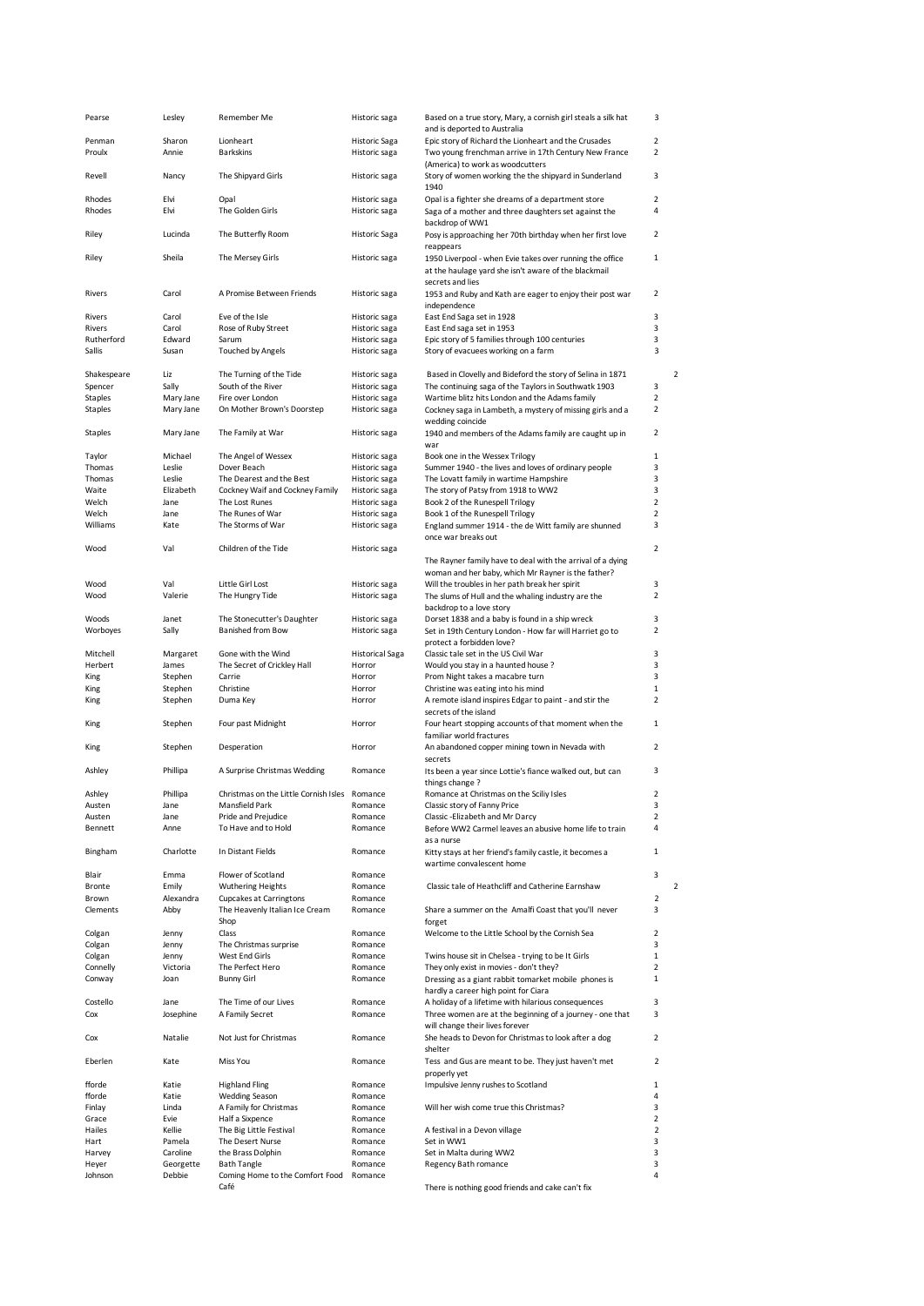|                           | Lesley             | Remember Me                                   | Historic saga                  | Based on a true story, Mary, a cornish girl steals a silk hat                                                      | 3                       |
|---------------------------|--------------------|-----------------------------------------------|--------------------------------|--------------------------------------------------------------------------------------------------------------------|-------------------------|
|                           |                    |                                               |                                | and is deported to Australia                                                                                       |                         |
| Penman                    | Sharon             | Lionheart                                     | <b>Historic Saga</b>           | Epic story of Richard the Lionheart and the Crusades                                                               | $\overline{2}$          |
| Proulx                    | Annie              | <b>Barkskins</b>                              | Historic saga                  | Two young frenchman arrive in 17th Century New France                                                              | $\overline{2}$          |
|                           |                    |                                               |                                | (America) to work as woodcutters                                                                                   |                         |
| Revell                    | Nancy              | The Shipyard Girls                            | Historic saga                  | Story of women working the the shipyard in Sunderland                                                              | 3                       |
| Rhodes                    | Elvi               | Opal                                          |                                | 1940<br>Opal is a fighter she dreams of a department store                                                         | $\overline{2}$          |
| Rhodes                    | Elvi               | The Golden Girls                              | Historic saga<br>Historic saga |                                                                                                                    | 4                       |
|                           |                    |                                               |                                | Saga of a mother and three daughters set against the<br>backdrop of WW1                                            |                         |
| Riley                     | Lucinda            | The Butterfly Room                            | Historic Saga                  | Posy is approaching her 70th birthday when her first love                                                          | 2                       |
|                           |                    |                                               |                                | reappears                                                                                                          |                         |
| Riley                     | Sheila             | The Mersey Girls                              | Historic saga                  | 1950 Liverpool - when Evie takes over running the office                                                           | $\mathbf 1$             |
|                           |                    |                                               |                                | at the haulage yard she isn't aware of the blackmail                                                               |                         |
|                           |                    |                                               |                                | secrets and lies                                                                                                   |                         |
| Rivers                    | Carol              | A Promise Between Friends                     | Historic saga                  | 1953 and Ruby and Kath are eager to enjoy their post war                                                           | 2                       |
|                           |                    |                                               |                                | independence                                                                                                       |                         |
| Rivers                    | Carol              | Eve of the Isle                               | Historic saga                  | East End Saga set in 1928                                                                                          | 3                       |
| Rivers                    | Carol              | Rose of Ruby Street                           | Historic saga                  | East End saga set in 1953                                                                                          | 3                       |
| Rutherford                | Edward             | Sarum                                         | Historic saga                  | Epic story of 5 families through 100 centuries                                                                     | 3                       |
| Sallis                    | Susan              | Touched by Angels                             | Historic saga                  | Story of evacuees working on a farm                                                                                | 3                       |
|                           |                    |                                               |                                |                                                                                                                    | $\overline{2}$          |
| Shakespeare               | Liz                | The Turning of the Tide<br>South of the River | Historic saga                  | Based in Clovelly and Bideford the story of Selina in 1871<br>The continuing saga of the Taylors in Southwatk 1903 | 3                       |
| Spencer<br><b>Staples</b> | Sally<br>Mary Jane | Fire over London                              | Historic saga<br>Historic saga | Wartime blitz hits London and the Adams family                                                                     | $\overline{2}$          |
| <b>Staples</b>            | Mary Jane          | On Mother Brown's Doorstep                    | Historic saga                  | Cockney saga in Lambeth, a mystery of missing girls and a                                                          | $\overline{2}$          |
|                           |                    |                                               |                                | wedding coincide                                                                                                   |                         |
| <b>Staples</b>            | Mary Jane          | The Family at War                             | Historic saga                  | 1940 and members of the Adams family are caught up in                                                              | 2                       |
|                           |                    |                                               |                                | war                                                                                                                |                         |
| Taylor                    | Michael            | The Angel of Wessex                           | Historic saga                  | Book one in the Wessex Trilogy                                                                                     | $\mathbf 1$             |
| Thomas                    | Leslie             | Dover Beach                                   | Historic saga                  | Summer 1940 - the lives and loves of ordinary people                                                               | 3                       |
| Thomas                    | Leslie             | The Dearest and the Best                      | Historic saga                  | The Lovatt family in wartime Hampshire                                                                             | 3                       |
| Waite                     | Elizabeth          | Cockney Waif and Cockney Family               | Historic saga                  | The story of Patsy from 1918 to WW2                                                                                | 3                       |
| Welch                     | Jane               | The Lost Runes                                | Historic saga                  | Book 2 of the Runespell Trilogy                                                                                    | 2                       |
| Welch                     | Jane               | The Runes of War                              | Historic saga                  | Book 1 of the Runespell Trilogy                                                                                    | 2                       |
| Williams                  | Kate               | The Storms of War                             | Historic saga                  | England summer 1914 - the de Witt family are shunned                                                               | 3                       |
|                           |                    |                                               |                                | once war breaks out                                                                                                |                         |
| Wood                      | Val                | Children of the Tide                          | Historic saga                  |                                                                                                                    | 2                       |
|                           |                    |                                               |                                | The Rayner family have to deal with the arrival of a dying                                                         |                         |
| Wood                      | Val                | Little Girl Lost                              |                                | woman and her baby, which Mr Rayner is the father?<br>Will the troubles in her path break her spirit               | 3                       |
| Wood                      | Valerie            | The Hungry Tide                               | Historic saga<br>Historic saga | The slums of Hull and the whaling industry are the                                                                 | $\overline{2}$          |
|                           |                    |                                               |                                | backdrop to a love story                                                                                           |                         |
| Woods                     | Janet              | The Stonecutter's Daughter                    | Historic saga                  | Dorset 1838 and a baby is found in a ship wreck                                                                    | 3                       |
| Worboyes                  | Sally              | <b>Banished from Bow</b>                      | Historic saga                  | Set in 19th Century London - How far will Harriet go to                                                            | 2                       |
|                           |                    |                                               |                                | protect a forbidden love?                                                                                          |                         |
| Mitchell                  | Margaret           | Gone with the Wind                            | <b>Historical Saga</b>         | Classic tale set in the US Civil War                                                                               | 3                       |
| Herbert                   | James              | The Secret of Crickley Hall                   | Horror                         | Would you stay in a haunted house?                                                                                 | 3                       |
| King                      | Stephen            | Carrie                                        | Horror                         | Prom Night takes a macabre turn                                                                                    | 3                       |
| King                      | Stephen            | Christine                                     | Horror                         | Christine was eating into his mind                                                                                 | $\mathbf 1$             |
| King                      | Stephen            | Duma Key                                      | Horror                         | A remote island inspires Edgar to paint - and stir the                                                             | 2                       |
|                           |                    |                                               |                                | secrets of the island                                                                                              |                         |
|                           |                    |                                               |                                |                                                                                                                    |                         |
| King                      | Stephen            | Four past Midnight                            | Horror                         | Four heart stopping accounts of that moment when the                                                               | $\mathbf{1}$            |
|                           |                    |                                               |                                | familiar world fractures                                                                                           |                         |
| King                      | Stephen            | Desperation                                   | Horror                         | An abandoned copper mining town in Nevada with                                                                     | 2                       |
|                           |                    |                                               |                                | secrets                                                                                                            |                         |
| Ashley                    | Phillipa           | A Surprise Christmas Wedding                  | Romance                        | Its been a year since Lottie's fiance walked out, but can                                                          | 3                       |
|                           |                    |                                               |                                | things change?                                                                                                     |                         |
| Ashley                    | Phillipa           | Christmas on the Little Cornish Isles Romance |                                | Romance at Christmas on the Sciliy Isles                                                                           | 2                       |
| Austen                    | Jane               | Mansfield Park                                | Romance                        | Classic story of Fanny Price                                                                                       | 3                       |
| Austen<br>Bennett         | Jane<br>Anne       | Pride and Prejudice<br>To Have and to Hold    | Romance<br>Romance             | Classic -Elizabeth and Mr Darcy                                                                                    | 2<br>4                  |
|                           |                    |                                               |                                | Before WW2 Carmel leaves an abusive home life to train<br>as a nurse                                               |                         |
| Bingham                   | Charlotte          | In Distant Fields                             | Romance                        | Kitty stays at her friend's family castle, it becomes a                                                            | 1                       |
|                           |                    |                                               |                                | wartime convalescent home                                                                                          |                         |
| Blair                     | Emma               | Flower of Scotland                            | Romance                        |                                                                                                                    | 3                       |
| Bronte                    | Emily              | <b>Wuthering Heights</b>                      | Romance                        | Classic tale of Heathcliff and Catherine Earnshaw                                                                  | $\overline{2}$          |
| Brown                     | Alexandra          | Cupcakes at Carringtons                       | Romance                        |                                                                                                                    | $\overline{\mathbf{2}}$ |
| Clements                  | Abby               | The Heavenly Italian Ice Cream                | Romance                        | Share a summer on the Amalfi Coast that you'll never                                                               | 3                       |
|                           |                    | Shop                                          |                                | forget                                                                                                             |                         |
| Colgan                    | Jenny              | Class                                         | Romance                        | Welcome to the Little School by the Cornish Sea                                                                    | 2                       |
| Colgan                    | Jenny              | The Christmas surprise                        | Romance                        |                                                                                                                    | 3                       |
| Colgan                    | Jenny              | West End Girls                                | Romance                        | Twins house sit in Chelsea - trying to be It Girls                                                                 | $\mathbf 1$<br>2        |
| Connelly<br>Conway        | Victoria<br>Joan   | The Perfect Hero<br><b>Bunny Girl</b>         | Romance<br>Romance             | They only exist in movies - don't they?<br>Dressing as a giant rabbit tomarket mobile phones is                    | $\mathbf 1$             |
|                           |                    |                                               |                                | hardly a career high point for Ciara                                                                               |                         |
| Costello                  | Jane               | The Time of our Lives                         | Romance                        | A holiday of a lifetime with hilarious consequences                                                                | 3                       |
| Cox                       | Josephine          | A Family Secret                               | Romance                        | Three women are at the beginning of a journey - one that                                                           | 3                       |
|                           |                    |                                               |                                | will change their lives forever                                                                                    |                         |
| Cox                       | Natalie            | Not Just for Christmas                        | Romance                        | She heads to Devon for Christmas to look after a dog                                                               | 2                       |
|                           |                    |                                               |                                | shelter                                                                                                            |                         |
| Eberlen                   | Kate               | Miss You                                      | Romance                        | Tess and Gus are meant to be. They just haven't met                                                                | $\overline{2}$          |
|                           |                    |                                               |                                | properly yet                                                                                                       |                         |
| fforde                    | Katie              | <b>Highland Fling</b>                         | Romance                        | Impulsive Jenny rushes to Scotland                                                                                 | $\mathbf 1$             |
| fforde                    | Katie              | <b>Wedding Season</b>                         | Romance                        |                                                                                                                    | 4                       |
| Finlay                    | Linda              | A Family for Christmas                        | Romance                        | Will her wish come true this Christmas?                                                                            | 3                       |
| Grace<br>Hailes           | Evie<br>Kellie     | Half a Sixpence<br>The Big Little Festival    | Romance<br>Romance             | A festival in a Devon village                                                                                      | 2<br>$\overline{2}$     |
| Hart                      | Pamela             | The Desert Nurse                              | Romance                        | Set in WW1                                                                                                         | 3                       |
| Harvey                    | Caroline           | the Brass Dolphin                             | Romance                        | Set in Malta during WW2                                                                                            | 3                       |
| Heyer                     | Georgette          | <b>Bath Tangle</b>                            | Romance                        | Regency Bath romance                                                                                               | 3                       |
| Johnson                   | Debbie             | Coming Home to the Comfort Food<br>Café       | Romance                        | There is nothing good friends and cake can't fix                                                                   | 4                       |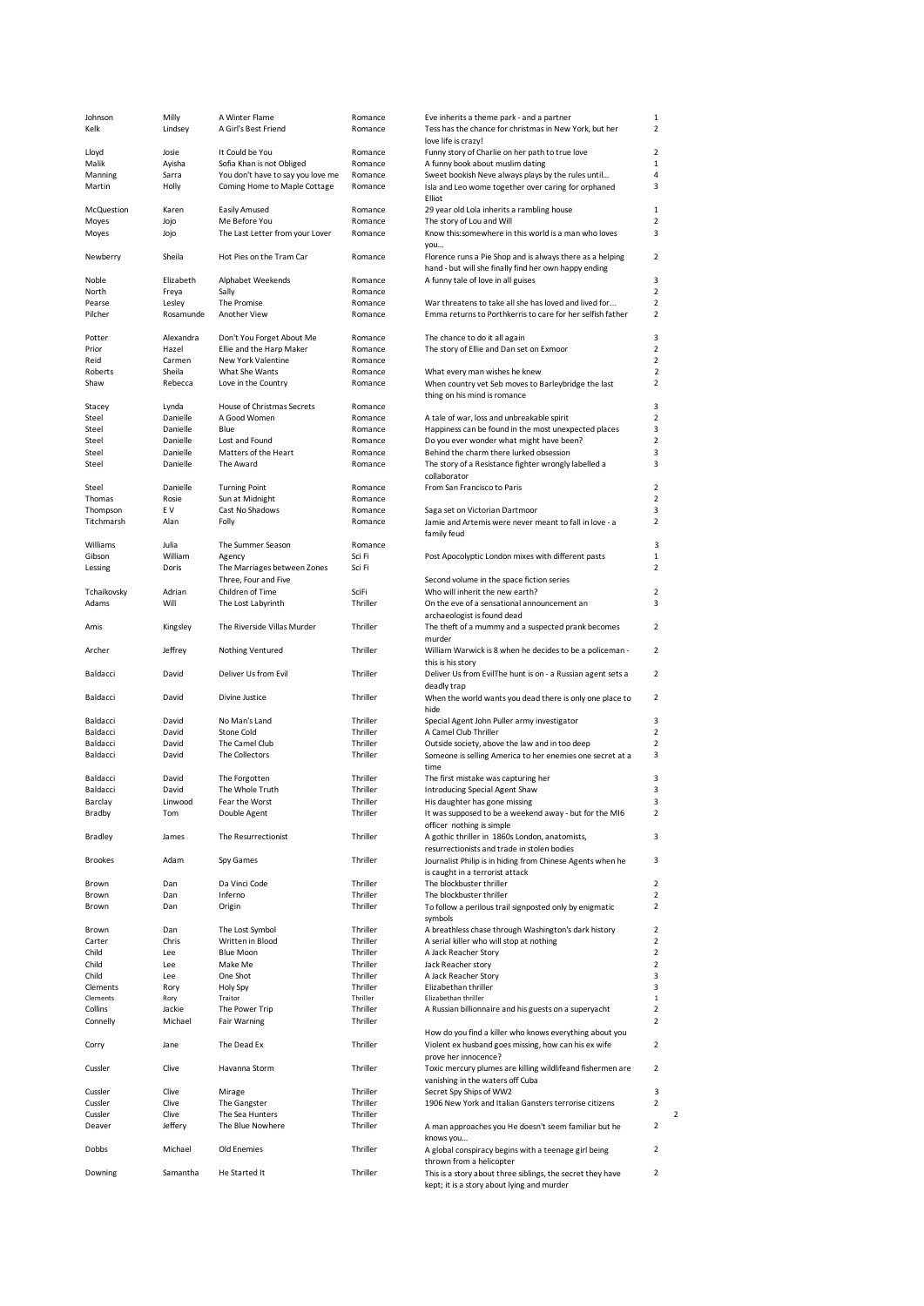| Johnson        | Milly     | A Winter Flame                    | Romance  | Eve inherits a theme park - and a partner                                                                | 1              |
|----------------|-----------|-----------------------------------|----------|----------------------------------------------------------------------------------------------------------|----------------|
| Kelk           | Lindsey   | A Girl's Best Friend              | Romance  | Tess has the chance for christmas in New York, but her                                                   | 2              |
|                |           |                                   |          | love life is crazy!                                                                                      |                |
| Lloyd          | Josie     | It Could be You                   | Romance  | Funny story of Charlie on her path to true love                                                          | $\overline{2}$ |
| Malik          | Ayisha    | Sofia Khan is not Obliged         | Romance  | A funny book about muslim dating                                                                         | $\mathbf{1}$   |
| Manning        | Sarra     | You don't have to say you love me | Romance  | Sweet bookish Neve always plays by the rules until                                                       | 4              |
| Martin         | Holly     | Coming Home to Maple Cottage      | Romance  | Isla and Leo wome together over caring for orphaned                                                      | 3              |
|                |           |                                   |          | Elliot                                                                                                   |                |
| McQuestion     | Karen     | <b>Easily Amused</b>              | Romance  | 29 year old Lola inherits a rambling house                                                               | $\mathbf{1}$   |
| Moyes          | Jojo      | Me Before You                     | Romance  | The story of Lou and Will                                                                                | 2              |
| Moyes          | Jojo      | The Last Letter from your Lover   | Romance  | Know this: somewhere in this world is a man who loves                                                    | 3              |
|                |           |                                   |          | you                                                                                                      |                |
| Newberry       | Sheila    | Hot Pies on the Tram Car          | Romance  | Florence runs a Pie Shop and is always there as a helping                                                | 2              |
|                |           |                                   |          | hand - but will she finally find her own happy ending                                                    |                |
| Noble          | Elizabeth | Alphabet Weekends                 | Romance  | A funny tale of love in all guises                                                                       | 3              |
| North          | Freya     | Sally                             | Romance  |                                                                                                          | $\overline{2}$ |
| Pearse         | Lesley    | The Promise                       | Romance  | War threatens to take all she has loved and lived for                                                    | $\overline{2}$ |
| Pilcher        | Rosamunde | Another View                      | Romance  | Emma returns to Porthkerris to care for her selfish father                                               | $\overline{2}$ |
|                |           |                                   |          |                                                                                                          |                |
| Potter         | Alexandra | Don't You Forget About Me         | Romance  | The chance to do it all again                                                                            | 3              |
| Prior          | Hazel     | Ellie and the Harp Maker          | Romance  | The story of Ellie and Dan set on Exmoor                                                                 | $\overline{2}$ |
| Reid           | Carmen    | New York Valentine                | Romance  |                                                                                                          | 2              |
| Roberts        | Sheila    | What She Wants                    | Romance  | What every man wishes he knew                                                                            | $\overline{2}$ |
| Shaw           | Rebecca   | Love in the Country               | Romance  | When country vet Seb moves to Barleybridge the last                                                      | $\overline{2}$ |
|                |           |                                   |          | thing on his mind is romance                                                                             |                |
| Stacey         | Lynda     | House of Christmas Secrets        | Romance  |                                                                                                          | 3              |
| Steel          | Danielle  | A Good Women                      | Romance  | A tale of war, loss and unbreakable spirit                                                               | $\overline{2}$ |
| Steel          | Danielle  | Blue                              | Romance  | Happiness can be found in the most unexpected places                                                     | 3              |
| Steel          | Danielle  | Lost and Found                    | Romance  | Do you ever wonder what might have been?                                                                 | $\overline{2}$ |
| Steel          | Danielle  | Matters of the Heart              | Romance  | Behind the charm there lurked obsession                                                                  | 3              |
| Steel          | Danielle  | The Award                         | Romance  | The story of a Resistance fighter wrongly labelled a                                                     | 3              |
|                |           |                                   |          | collaborator                                                                                             |                |
|                | Danielle  |                                   |          |                                                                                                          | $\overline{2}$ |
| Steel          |           | <b>Turning Point</b>              | Romance  | From San Francisco to Paris                                                                              | $\overline{2}$ |
| Thomas         | Rosie     | Sun at Midnight                   | Romance  |                                                                                                          |                |
| Thompson       | E V       | Cast No Shadows                   | Romance  | Saga set on Victorian Dartmoor                                                                           | 3              |
| Titchmarsh     | Alan      | Folly                             | Romance  | Jamie and Artemis were never meant to fall in love - a                                                   | 2              |
|                |           |                                   |          | family feud                                                                                              |                |
| Williams       | Julia     | The Summer Season                 | Romance  |                                                                                                          | 3              |
| Gibson         | William   | Agency                            | Sci Fi   | Post Apocolyptic London mixes with different pasts                                                       | $\mathbf{1}$   |
| Lessing        | Doris     | The Marriages between Zones       | Sci Fi   |                                                                                                          | $\overline{2}$ |
|                |           | Three, Four and Five              |          | Second volume in the space fiction series                                                                |                |
| Tchaikovsky    | Adrian    | Children of Time                  | SciFi    | Who will inherit the new earth?                                                                          | $\overline{2}$ |
| Adams          | Will      | The Lost Labyrinth                | Thriller | On the eve of a sensational announcement an                                                              | 3              |
|                |           |                                   |          | archaeologist is found dead                                                                              |                |
| Amis           | Kingsley  | The Riverside Villas Murder       | Thriller | The theft of a mummy and a suspected prank becomes                                                       | 2              |
|                |           |                                   |          | murder                                                                                                   |                |
| Archer         | Jeffrey   | Nothing Ventured                  | Thriller | William Warwick is 8 when he decides to be a policeman -                                                 | $\overline{2}$ |
|                |           |                                   |          | this is his story                                                                                        |                |
| Baldacci       | David     | Deliver Us from Evil              | Thriller | Deliver Us from EvilThe hunt is on - a Russian agent sets a                                              | 2              |
|                |           |                                   |          | deadly trap                                                                                              |                |
| Baldacci       | David     | Divine Justice                    | Thriller |                                                                                                          | 2              |
|                |           |                                   |          | When the world wants you dead there is only one place to                                                 |                |
|                |           |                                   |          | hide                                                                                                     |                |
| Baldacci       | David     | No Man's Land                     | Thriller | Special Agent John Puller army investigator                                                              | 3              |
| Baldacci       | David     | Stone Cold                        | Thriller | A Camel Club Thriller                                                                                    | $\overline{2}$ |
| Baldacci       | David     | The Camel Club                    | Thriller | Outside society, above the law and in too deep                                                           | $\overline{2}$ |
| Baldacci       | David     | The Collectors                    | Thriller | Someone is selling America to her enemies one secret at a                                                | 3              |
|                |           |                                   |          | time                                                                                                     |                |
| Baldacci       | David     | The Forgotten                     | Thriller | The first mistake was capturing her                                                                      | 3              |
| Baldacci       | David     | The Whole Truth                   | Thriller | Introducing Special Agent Shaw                                                                           | 3              |
| Barclay        | Linwood   | Fear the Worst                    | Thriller | His daughter has gone missing                                                                            | 3              |
| Bradby         | Tom       | Double Agent                      | Thriller | It was supposed to be a weekend away - but for the MI6                                                   | 2              |
|                |           |                                   |          | officer nothing is simple                                                                                |                |
| Bradley        | James     | The Resurrectionist               | Thriller | A gothic thriller in 1860s London, anatomists,                                                           | 3              |
|                |           |                                   |          | resurrectionists and trade in stolen bodies                                                              |                |
| <b>Brookes</b> | Adam      | Spy Games                         | Thriller | Journalist Philip is in hiding from Chinese Agents when he                                               | 3              |
|                |           |                                   |          | is caught in a terrorist attack                                                                          |                |
| Brown          | Dan       | Da Vinci Code                     | Thriller | The blockbuster thriller                                                                                 | $\overline{2}$ |
| Brown          | Dan       | Inferno                           | Thriller | The blockbuster thriller                                                                                 | $\overline{2}$ |
| Brown          | Dan       | Origin                            | Thriller | To follow a perilous trail signposted only by enigmatic                                                  | $\overline{2}$ |
|                |           |                                   |          | symbols                                                                                                  |                |
| Brown          | Dan       |                                   | Thriller |                                                                                                          | $\overline{2}$ |
| Carter         |           | The Lost Symbol                   | Thriller | A breathless chase through Washington's dark history                                                     | $\overline{2}$ |
|                | Chris     | Written in Blood                  |          | A serial killer who will stop at nothing                                                                 |                |
| Child          | Lee       | <b>Blue Moon</b>                  | Thriller | A Jack Reacher Story                                                                                     | $\overline{2}$ |
| Child          | Lee       | Make Me                           | Thriller | Jack Reacher story                                                                                       | $\overline{2}$ |
| Child          | Lee       | One Shot                          | Thriller | A Jack Reacher Story                                                                                     | 3              |
| Clements       | Rory      | Holy Spy                          | Thriller | Elizabethan thriller                                                                                     | 3              |
| Clements       | Rory      | Traitor                           | Thriller | Elizabethan thriller                                                                                     | $\mathbf 1$    |
| Collins        | Jackie    | The Power Trip                    | Thriller | A Russian billionnaire and his guests on a superyacht                                                    | $\overline{2}$ |
| Connelly       | Michael   | Fair Warning                      | Thriller |                                                                                                          | 2              |
|                |           |                                   |          | How do you find a killer who knows everything about you                                                  |                |
| Corry          | Jane      | The Dead Ex                       | Thriller | Violent ex husband goes missing, how can his ex wife                                                     | $\overline{2}$ |
|                |           |                                   |          | prove her innocence?                                                                                     |                |
| Cussler        | Clive     | Havanna Storm                     | Thriller | Toxic mercury plumes are killing wildlifeand fishermen are                                               | $\overline{2}$ |
|                |           |                                   |          | vanishing in the waters off Cuba                                                                         |                |
| Cussler        | Clive     | Mirage                            | Thriller | Secret Spy Ships of WW2                                                                                  | 3              |
| Cussler        | Clive     | The Gangster                      | Thriller | 1906 New York and Italian Gansters terrorise citizens                                                    | $\overline{2}$ |
| Cussler        | Clive     | The Sea Hunters                   | Thriller |                                                                                                          |                |
| Deaver         | Jeffery   | The Blue Nowhere                  | Thriller |                                                                                                          | $\overline{2}$ |
|                |           |                                   |          | A man approaches you He doesn't seem familiar but he<br>knows you                                        |                |
|                | Michael   | Old Enemies                       | Thriller |                                                                                                          | $\overline{2}$ |
| Dobbs          |           |                                   |          | A global conspiracy begins with a teenage girl being                                                     |                |
|                |           |                                   |          | thrown from a helicopter                                                                                 |                |
| Downing        | Samantha  | He Started It                     | Thriller | This is a story about three siblings, the secret they have<br>kept; it is a story about lying and murder | $\overline{2}$ |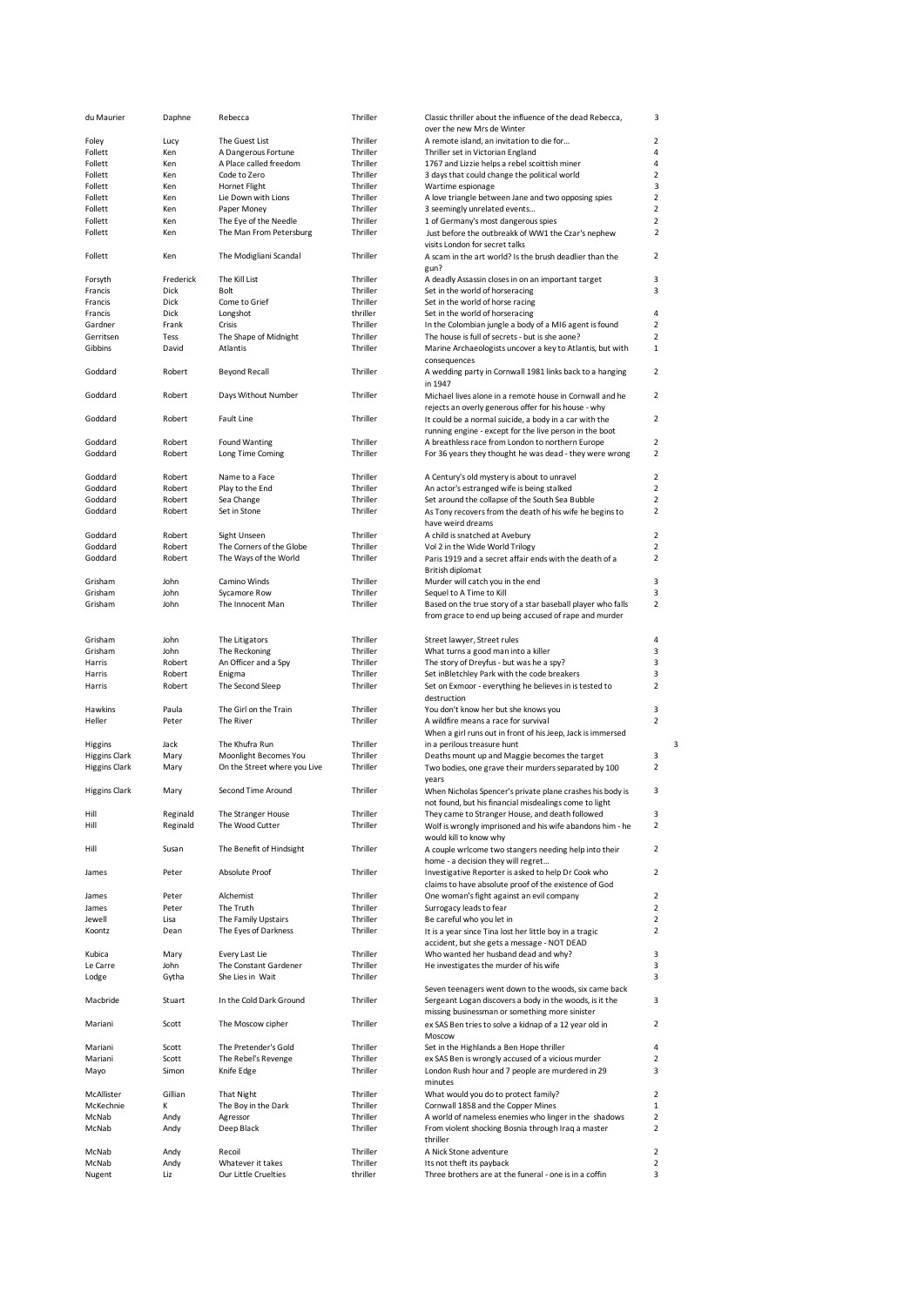| du Maurier           | Daphne    | Rebecca                      | Thriller | Classic thriller about the influence of the dead Rebecca,                                                           | 3              |
|----------------------|-----------|------------------------------|----------|---------------------------------------------------------------------------------------------------------------------|----------------|
|                      |           |                              |          | over the new Mrs de Winter                                                                                          |                |
| Foley                | Lucy      | The Guest List               | Thriller | A remote island, an invitation to die for                                                                           | $\overline{2}$ |
| Follett              | Ken       | A Dangerous Fortune          | Thriller | Thriller set in Victorian England                                                                                   | 4              |
| Follett              | Ken       | A Place called freedom       | Thriller | 1767 and Lizzie helps a rebel scoittish miner                                                                       | 4              |
| Follett              | Ken       | Code to Zero                 | Thriller | 3 days that could change the political world                                                                        | $\overline{2}$ |
| Follett              | Ken       | Hornet Flight                | Thriller | Wartime espionage                                                                                                   | 3              |
| Follett              | Ken       | Lie Down with Lions          | Thriller | A love triangle between Jane and two opposing spies                                                                 | $\overline{2}$ |
| Follett              | Ken       | Paper Money                  | Thriller | 3 seemingly unrelated events                                                                                        | $\overline{2}$ |
| Follett              | Ken       | The Eye of the Needle        | Thriller | 1 of Germany's most dangerous spies                                                                                 | $\overline{2}$ |
| Follett              | Ken       | The Man From Petersburg      | Thriller |                                                                                                                     | $\overline{2}$ |
|                      |           |                              |          | Just before the outbreakk of WW1 the Czar's nephew<br>visits London for secret talks                                |                |
| Follett              | Ken       | The Modigliani Scandal       | Thriller | A scam in the art world? Is the brush deadlier than the<br>gun?                                                     | $\overline{2}$ |
| Forsyth              | Frederick | The Kill List                | Thriller | A deadly Assassin closes in on an important target                                                                  | 3              |
| Francis              | Dick      | Bolt                         | Thriller | Set in the world of horseracing                                                                                     | 3              |
| Francis              | Dick      | Come to Grief                | Thriller | Set in the world of horse racing                                                                                    |                |
| Francis              | Dick      | Longshot                     | thriller | Set in the world of horseracing                                                                                     | 4              |
|                      |           |                              |          |                                                                                                                     | $\overline{2}$ |
| Gardner              | Frank     | Crisis                       | Thriller | In the Colombian jungle a body of a MI6 agent is found                                                              |                |
| Gerritsen            | Tess      | The Shape of Midnight        | Thriller | The house is full of secrets - but is she aone?                                                                     | $\overline{2}$ |
| Gibbins              | David     | Atlantis                     | Thriller | Marine Archaeologists uncover a key to Atlantis, but with                                                           | $\mathbf{1}$   |
| Goddard              | Robert    | <b>Beyond Recall</b>         | Thriller | consequences<br>A wedding party in Cornwall 1981 links back to a hanging                                            | 2              |
| Goddard              | Robert    | Days Without Number          | Thriller | in 1947<br>Michael lives alone in a remote house in Cornwall and he                                                 | $\overline{2}$ |
|                      |           |                              |          | rejects an overly generous offer for his house - why                                                                |                |
| Goddard              | Robert    | Fault Line                   | Thriller | It could be a normal suicide, a body in a car with the<br>running engine - except for the live person in the boot   | $\overline{2}$ |
|                      |           |                              |          |                                                                                                                     |                |
| Goddard              | Robert    | <b>Found Wanting</b>         | Thriller | A breathless race from London to northern Europe                                                                    | $\overline{2}$ |
| Goddard              | Robert    | Long Time Coming             | Thriller | For 36 years they thought he was dead - they were wrong                                                             | $\overline{2}$ |
| Goddard              | Robert    | Name to a Face               | Thriller | A Century's old mystery is about to unravel                                                                         | $\overline{2}$ |
| Goddard              | Robert    | Play to the End              | Thriller | An actor's estranged wife is being stalked                                                                          | $\overline{2}$ |
| Goddard              | Robert    | Sea Change                   | Thriller | Set around the collapse of the South Sea Bubble                                                                     | $\overline{2}$ |
| Goddard              | Robert    | Set in Stone                 | Thriller | As Tony recovers from the death of his wife he begins to                                                            | $\overline{2}$ |
|                      |           |                              |          | have weird dreams                                                                                                   |                |
|                      |           |                              |          |                                                                                                                     | $\overline{2}$ |
| Goddard              | Robert    | Sight Unseen                 | Thriller | A child is snatched at Avebury                                                                                      |                |
| Goddard              | Robert    | The Corners of the Globe     | Thriller | Vol 2 in the Wide World Trilogy                                                                                     | $\overline{2}$ |
| Goddard              | Robert    | The Ways of the World        | Thriller | Paris 1919 and a secret affair ends with the death of a<br>British diplomat                                         | $\overline{2}$ |
| Grisham              | John      | Camino Winds                 | Thriller | Murder will catch you in the end                                                                                    | 3              |
| Grisham              | John      | Sycamore Row                 | Thriller | Sequel to A Time to Kill                                                                                            | 3              |
| Grisham              | John      | The Innocent Man             | Thriller | Based on the true story of a star baseball player who falls                                                         | $\overline{2}$ |
|                      |           |                              |          | from grace to end up being accused of rape and murder                                                               |                |
| Grisham              | John      | The Litigators               | Thriller | Street lawyer, Street rules                                                                                         | 4              |
| Grisham              | John      | The Reckoning                | Thriller | What turns a good man into a killer                                                                                 | 3              |
| Harris               | Robert    | An Officer and a Spy         | Thriller | The story of Dreyfus - but was he a spy?                                                                            | 3              |
| Harris               | Robert    | Enigma                       | Thriller | Set inBletchley Park with the code breakers                                                                         | 3              |
| Harris               | Robert    | The Second Sleep             | Thriller | Set on Exmoor - everything he believes in is tested to                                                              | $\overline{2}$ |
|                      |           |                              |          | destruction                                                                                                         |                |
|                      |           |                              |          |                                                                                                                     |                |
| Hawkins              | Paula     | The Girl on the Train        | Thriller | You don't know her but she knows you                                                                                | 3              |
| Heller               | Peter     | The River                    | Thriller | A wildfire means a race for survival                                                                                | $\overline{2}$ |
|                      |           |                              |          | When a girl runs out in front of his Jeep, Jack is immersed                                                         |                |
| Higgins              | Jack      | The Khufra Run               | Thriller | in a perilous treasure hunt                                                                                         | 3              |
| <b>Higgins Clark</b> | Mary      | Moonlight Becomes You        | Thriller | Deaths mount up and Maggie becomes the target                                                                       | 3              |
| <b>Higgins Clark</b> | Mary      | On the Street where you Live | Thriller | Two bodies, one grave their murders separated by 100                                                                | $\overline{2}$ |
|                      |           | Second Time Around           | Thriller | years                                                                                                               | 3              |
| <b>Higgins Clark</b> | Mary      |                              |          | When Nicholas Spencer's private plane crashes his body is<br>not found, but his financial misdealings come to light |                |
| Hill                 | Reginald  | The Stranger House           | Thriller | They came to Stranger House, and death followed                                                                     | 3              |
| Hill                 | Reginald  | The Wood Cutter              | Thriller |                                                                                                                     | $\overline{2}$ |
|                      |           |                              |          | Wolf is wrongly imprisoned and his wife abandons him - he                                                           |                |
|                      |           |                              |          | would kill to know why                                                                                              |                |
| Hill                 | Susan     | The Benefit of Hindsight     | Thriller | A couple wrlcome two stangers needing help into their                                                               | $\overline{2}$ |
|                      |           |                              |          | home - a decision they will regret                                                                                  |                |
| James                | Peter     | Absolute Proof               | Thriller | Investigative Reporter is asked to help Dr Cook who                                                                 | $\overline{2}$ |
|                      |           |                              |          | claims to have absolute proof of the existence of God                                                               |                |
| James                | Peter     | Alchemist                    | Thriller | One woman's fight against an evil company                                                                           | $\overline{2}$ |
| James                | Peter     | The Truth                    | Thriller | Surrogacy leads to fear                                                                                             | $\overline{2}$ |
| Jewell               | Lisa      | The Family Upstairs          | Thriller | Be careful who you let in                                                                                           | $\overline{2}$ |
| Koontz               | Dean      | The Eyes of Darkness         | Thriller | It is a year since Tina lost her little boy in a tragic                                                             | $\overline{2}$ |
|                      |           |                              |          | accident, but she gets a message - NOT DEAD                                                                         |                |
| Kubica               | Mary      | Every Last Lie               | Thriller | Who wanted her husband dead and why?                                                                                | 3              |
| Le Carre             | John      | The Constant Gardener        | Thriller | He investigates the murder of his wife                                                                              | 3              |
| Lodge                | Gytha     | She Lies in Wait             | Thriller |                                                                                                                     | 3              |
|                      |           |                              |          | Seven teenagers went down to the woods, six came back                                                               |                |
| Macbride             | Stuart    | In the Cold Dark Ground      | Thriller | Sergeant Logan discovers a body in the woods, is it the                                                             | 3              |
|                      |           |                              |          | missing businessman or something more sinister                                                                      |                |
| Mariani              | Scott     | The Moscow cipher            | Thriller | ex SAS Ben tries to solve a kidnap of a 12 year old in<br>Moscow                                                    | $\overline{2}$ |
|                      |           |                              |          | Set in the Highlands a Ben Hope thriller                                                                            | 4              |
| Mariani              | Scott     | The Pretender's Gold         | Thriller |                                                                                                                     |                |
| Mariani              | Scott     | The Rebel's Revenge          | Thriller | ex SAS Ben is wrongly accused of a vicious murder                                                                   | $\overline{2}$ |
| Mayo                 | Simon     | Knife Edge                   | Thriller | London Rush hour and 7 people are murdered in 29                                                                    | 3              |
|                      |           |                              |          | minutes                                                                                                             |                |
| McAllister           | Gillian   | <b>That Night</b>            | Thriller | What would you do to protect family?                                                                                | $\overline{2}$ |
| McKechnie            | К         | The Boy in the Dark          | Thriller | Cornwall 1858 and the Copper Mines                                                                                  | $\mathbf{1}$   |
| McNab                | Andy      | Agressor                     | Thriller | A world of nameless enemies who linger in the shadows                                                               | $\overline{2}$ |
| McNab                | Andy      | Deep Black                   | Thriller | From violent shocking Bosnia through Iraq a master                                                                  | $\overline{2}$ |
|                      |           |                              |          | thriller                                                                                                            |                |
| McNab                | Andy      | Recoil                       | Thriller | A Nick Stone adventure                                                                                              | $\overline{2}$ |
| McNab                | Andy      | Whatever it takes            | Thriller | Its not theft its payback                                                                                           | $\overline{2}$ |
| Nugent               | Liz       | Our Little Cruelties         | thriller | Three brothers are at the funeral - one is in a coffin                                                              | 3              |
|                      |           |                              |          |                                                                                                                     |                |